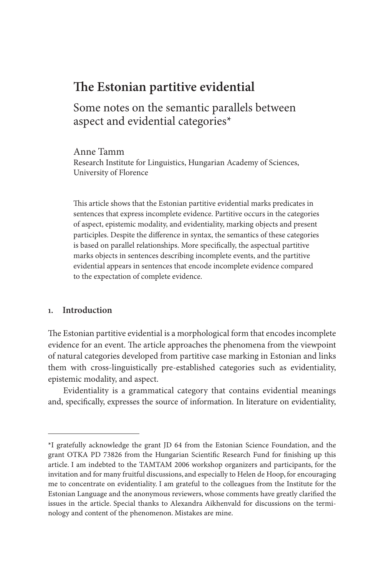# **The Estonian partitive evidential**

Some notes on the semantic parallels between aspect and evidential categories\*

Anne Tamm

Research Institute for Linguistics, Hungarian Academy of Sciences, University of Florence

This article shows that the Estonian partitive evidential marks predicates in sentences that express incomplete evidence. Partitive occurs in the categories of aspect, epistemic modality, and evidentiality, marking objects and present participles. Despite the difference in syntax, the semantics of these categories is based on parallel relationships. More specifically, the aspectual partitive marks objects in sentences describing incomplete events, and the partitive evidential appears in sentences that encode incomplete evidence compared to the expectation of complete evidence.

## **1. Introduction**

The Estonian partitive evidential is a morphological form that encodes incomplete evidence for an event. The article approaches the phenomena from the viewpoint of natural categories developed from partitive case marking in Estonian and links them with cross-linguistically pre-established categories such as evidentiality, epistemic modality, and aspect.

Evidentiality is a grammatical category that contains evidential meanings and, specifically, expresses the source of information. In literature on evidentiality,

<sup>\*</sup>I gratefully acknowledge the grant JD 64 from the Estonian Science Foundation, and the grant OTKA PD 73826 from the Hungarian Scientific Research Fund for finishing up this article. I am indebted to the TAMTAM 2006 workshop organizers and participants, for the invitation and for many fruitful discussions, and especially to Helen de Hoop, for encouraging me to concentrate on evidentiality. I am grateful to the colleagues from the Institute for the Estonian Language and the anonymous reviewers, whose comments have greatly clarified the issues in the article. Special thanks to Alexandra Aikhenvald for discussions on the terminology and content of the phenomenon. Mistakes are mine.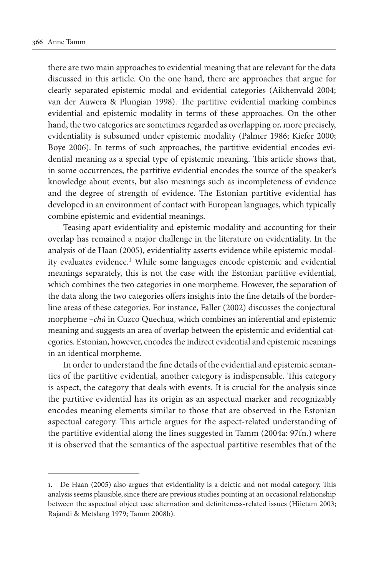there are two main approaches to evidential meaning that are relevant for the data discussed in this article. On the one hand, there are approaches that argue for clearly separated epistemic modal and evidential categories (Aikhenvald 2004; van der Auwera & Plungian 1998). The partitive evidential marking combines evidential and epistemic modality in terms of these approaches. On the other hand, the two categories are sometimes regarded as overlapping or, more precisely, evidentiality is subsumed under epistemic modality (Palmer 1986; Kiefer 2000; Boye 2006). In terms of such approaches, the partitive evidential encodes evidential meaning as a special type of epistemic meaning. This article shows that, in some occurrences, the partitive evidential encodes the source of the speaker's knowledge about events, but also meanings such as incompleteness of evidence and the degree of strength of evidence. The Estonian partitive evidential has developed in an environment of contact with European languages, which typically combine epistemic and evidential meanings.

Teasing apart evidentiality and epistemic modality and accounting for their overlap has remained a major challenge in the literature on evidentiality. In the analysis of de Haan (2005), evidentiality asserts evidence while epistemic modality evaluates evidence.<sup>1</sup> While some languages encode epistemic and evidential meanings separately, this is not the case with the Estonian partitive evidential, which combines the two categories in one morpheme. However, the separation of the data along the two categories offers insights into the fine details of the borderline areas of these categories. For instance, Faller (2002) discusses the conjectural morpheme *–chá* in Cuzco Quechua, which combines an inferential and epistemic meaning and suggests an area of overlap between the epistemic and evidential categories. Estonian, however, encodes the indirect evidential and epistemic meanings in an identical morpheme.

In order to understand the fine details of the evidential and epistemic semantics of the partitive evidential, another category is indispensable. This category is aspect, the category that deals with events. It is crucial for the analysis since the partitive evidential has its origin as an aspectual marker and recognizably encodes meaning elements similar to those that are observed in the Estonian aspectual category. This article argues for the aspect-related understanding of the partitive evidential along the lines suggested in Tamm (2004a: 97fn.) where it is observed that the semantics of the aspectual partitive resembles that of the

**<sup>1.</sup>** De Haan (2005) also argues that evidentiality is a deictic and not modal category. This analysis seems plausible, since there are previous studies pointing at an occasional relationship between the aspectual object case alternation and definiteness-related issues (Hiietam 2003; Rajandi & Metslang 1979; Tamm 2008b).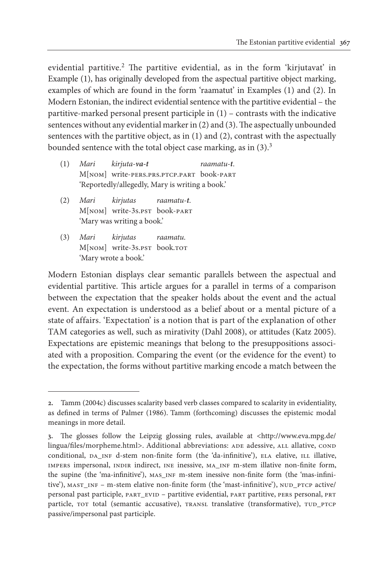evidential partitive.<sup>2</sup> The partitive evidential, as in the form 'kirjutavat' in Example (1), has originally developed from the aspectual partitive object marking, examples of which are found in the form 'raamatut' in Examples (1) and (2). In Modern Estonian, the indirect evidential sentence with the partitive evidential – the partitive-marked personal present participle in (1) – contrasts with the indicative sentences without any evidential marker in (2) and (3). The aspectually unbounded sentences with the partitive object, as in (1) and (2), contrast with the aspectually bounded sentence with the total object case marking, as in  $(3)$ .<sup>3</sup>

- (1) *Mari kirjuta-va-t raamatu-t*. M[nom] write-pers.prs.ptcp.part book-part 'Reportedly/allegedly, Mary is writing a book.'
- (2) *Mari kirjutas raamatu-t*. M[nom] write-3s.pst book-part 'Mary was writing a book.'
- (3) *Mari kirjutas raamatu.* M[NOM] write-3s.pst book.tor 'Mary wrote a book.'

Modern Estonian displays clear semantic parallels between the aspectual and evidential partitive. This article argues for a parallel in terms of a comparison between the expectation that the speaker holds about the event and the actual event. An expectation is understood as a belief about or a mental picture of a state of affairs. 'Expectation' is a notion that is part of the explanation of other TAM categories as well, such as mirativity (Dahl 2008), or attitudes (Katz 2005). Expectations are epistemic meanings that belong to the presuppositions associated with a proposition. Comparing the event (or the evidence for the event) to the expectation, the forms without partitive marking encode a match between the

**<sup>2.</sup>** Tamm (2004c) discusses scalarity based verb classes compared to scalarity in evidentiality, as defined in terms of Palmer (1986). Tamm (forthcoming) discusses the epistemic modal meanings in more detail.

**<sup>3.</sup>** The glosses follow the Leipzig glossing rules, available at <http://www.eva.mpg.de/ lingua/files/morpheme.html>. Additional abbreviations: ADE adessive, ALL allative, COND conditional, DA\_INF d-stem non-finite form (the 'da-infinitive'), ELA elative, ILL illative, IMPERS impersonal, INDIR indirect, INE inessive, MA\_INF m-stem illative non-finite form, the supine (the 'ma-infinitive'), mas\_inf m-stem inessive non-finite form (the 'mas-infinitive'), MAST\_INF - m-stem elative non-finite form (the 'mast-infinitive'), NUD\_PTCP active/ personal past participle,  $\text{pART\_EVID}$  – partitive evidential,  $\text{pART}$  partitive, pers personal,  $\text{pRT}$ particle, TOT total (semantic accusative), TRANSL translative (transformative), TUD\_PTCP passive/impersonal past participle.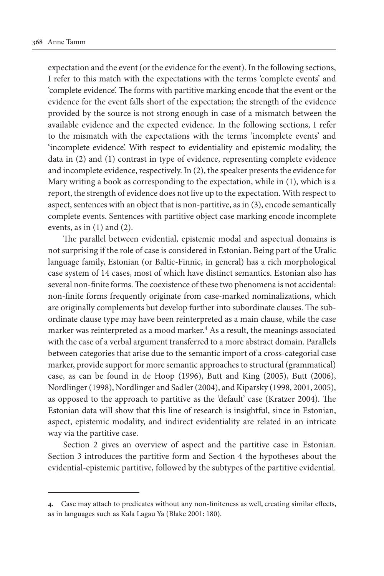expectation and the event (or the evidence for the event). In the following sections, I refer to this match with the expectations with the terms 'complete events' and 'complete evidence'. The forms with partitive marking encode that the event or the evidence for the event falls short of the expectation; the strength of the evidence provided by the source is not strong enough in case of a mismatch between the available evidence and the expected evidence. In the following sections, I refer to the mismatch with the expectations with the terms 'incomplete events' and 'incomplete evidence'. With respect to evidentiality and epistemic modality, the data in (2) and (1) contrast in type of evidence, representing complete evidence and incomplete evidence, respectively. In (2), the speaker presents the evidence for Mary writing a book as corresponding to the expectation, while in (1), which is a report, the strength of evidence does not live up to the expectation. With respect to aspect, sentences with an object that is non-partitive, as in (3), encode semantically complete events. Sentences with partitive object case marking encode incomplete events, as in  $(1)$  and  $(2)$ .

The parallel between evidential, epistemic modal and aspectual domains is not surprising if the role of case is considered in Estonian. Being part of the Uralic language family, Estonian (or Baltic-Finnic, in general) has a rich morphological case system of 14 cases, most of which have distinct semantics. Estonian also has several non-finite forms. The coexistence of these two phenomena is not accidental: non-finite forms frequently originate from case-marked nominalizations, which are originally complements but develop further into subordinate clauses. The subordinate clause type may have been reinterpreted as a main clause, while the case marker was reinterpreted as a mood marker.<sup>4</sup> As a result, the meanings associated with the case of a verbal argument transferred to a more abstract domain. Parallels between categories that arise due to the semantic import of a cross-categorial case marker, provide support for more semantic approaches to structural (grammatical) case, as can be found in de Hoop (1996), Butt and King (2005), Butt (2006), Nordlinger (1998), Nordlinger and Sadler (2004), and Kiparsky (1998, 2001, 2005), as opposed to the approach to partitive as the 'default' case (Kratzer 2004). The Estonian data will show that this line of research is insightful, since in Estonian, aspect, epistemic modality, and indirect evidentiality are related in an intricate way via the partitive case.

Section 2 gives an overview of aspect and the partitive case in Estonian. Section 3 introduces the partitive form and Section 4 the hypotheses about the evidential-epistemic partitive, followed by the subtypes of the partitive evidential.

**<sup>4.</sup>** Case may attach to predicates without any non-finiteness as well, creating similar effects, as in languages such as Kala Lagau Ya (Blake 2001: 180).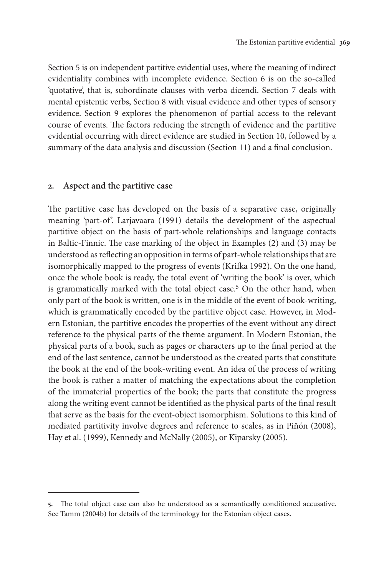Section 5 is on independent partitive evidential uses, where the meaning of indirect evidentiality combines with incomplete evidence. Section 6 is on the so-called 'quotative', that is, subordinate clauses with verba dicendi. Section 7 deals with mental epistemic verbs, Section 8 with visual evidence and other types of sensory evidence. Section 9 explores the phenomenon of partial access to the relevant course of events. The factors reducing the strength of evidence and the partitive evidential occurring with direct evidence are studied in Section 10, followed by a summary of the data analysis and discussion (Section 11) and a final conclusion.

#### **2. Aspect and the partitive case**

The partitive case has developed on the basis of a separative case, originally meaning 'part-of'. Larjavaara (1991) details the development of the aspectual partitive object on the basis of part-whole relationships and language contacts in Baltic-Finnic. The case marking of the object in Examples (2) and (3) may be understood as reflecting an opposition in terms of part-whole relationships that are isomorphically mapped to the progress of events (Krifka 1992). On the one hand, once the whole book is ready, the total event of 'writing the book' is over, which is grammatically marked with the total object case.<sup>5</sup> On the other hand, when only part of the book is written, one is in the middle of the event of book-writing, which is grammatically encoded by the partitive object case. However, in Modern Estonian, the partitive encodes the properties of the event without any direct reference to the physical parts of the theme argument. In Modern Estonian, the physical parts of a book, such as pages or characters up to the final period at the end of the last sentence, cannot be understood as the created parts that constitute the book at the end of the book-writing event. An idea of the process of writing the book is rather a matter of matching the expectations about the completion of the immaterial properties of the book; the parts that constitute the progress along the writing event cannot be identified as the physical parts of the final result that serve as the basis for the event-object isomorphism. Solutions to this kind of mediated partitivity involve degrees and reference to scales, as in Piñón (2008), Hay et al. (1999), Kennedy and McNally (2005), or Kiparsky (2005).

**<sup>5.</sup>** The total object case can also be understood as a semantically conditioned accusative. See Tamm (2004b) for details of the terminology for the Estonian object cases.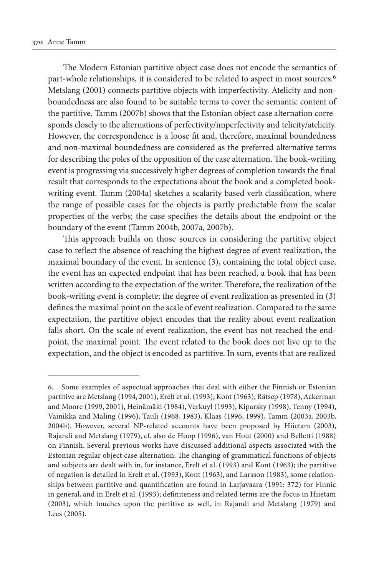The Modern Estonian partitive object case does not encode the semantics of part-whole relationships, it is considered to be related to aspect in most sources.<sup>6</sup> Metslang (2001) connects partitive objects with imperfectivity. Atelicity and nonboundedness are also found to be suitable terms to cover the semantic content of the partitive. Tamm (2007b) shows that the Estonian object case alternation corresponds closely to the alternations of perfectivity/imperfectivity and telicity/atelicity. However, the correspondence is a loose fit and, therefore, maximal boundedness and non-maximal boundedness are considered as the preferred alternative terms for describing the poles of the opposition of the case alternation. The book-writing event is progressing via successively higher degrees of completion towards the final result that corresponds to the expectations about the book and a completed bookwriting event. Tamm (2004a) sketches a scalarity based verb classification, where the range of possible cases for the objects is partly predictable from the scalar properties of the verbs; the case specifies the details about the endpoint or the boundary of the event (Tamm 2004b, 2007a, 2007b).

This approach builds on those sources in considering the partitive object case to reflect the absence of reaching the highest degree of event realization, the maximal boundary of the event. In sentence (3), containing the total object case, the event has an expected endpoint that has been reached, a book that has been written according to the expectation of the writer. Therefore, the realization of the book-writing event is complete; the degree of event realization as presented in (3) defines the maximal point on the scale of event realization. Compared to the same expectation, the partitive object encodes that the reality about event realization falls short. On the scale of event realization, the event has not reached the endpoint, the maximal point. The event related to the book does not live up to the expectation, and the object is encoded as partitive. In sum, events that are realized

**<sup>6.</sup>** Some examples of aspectual approaches that deal with either the Finnish or Estonian partitive are Metslang (1994, 2001), Erelt et al. (1993), Kont (1963), Rätsep (1978), Ackerman and Moore (1999, 2001), Heinämäki (1984), Verkuyl (1993), Kiparsky (1998), Tenny (1994), Vainikka and Maling (1996), Tauli (1968, 1983), Klaas (1996, 1999), Tamm (2003a, 2003b, 2004b). However, several NP-related accounts have been proposed by Hiietam (2003), Rajandi and Metslang (1979), cf. also de Hoop (1996), van Hout (2000) and Belletti (1988) on Finnish. Several previous works have discussed additional aspects associated with the Estonian regular object case alternation. The changing of grammatical functions of objects and subjects are dealt with in, for instance, Erelt et al. (1993) and Kont (1963); the partitive of negation is detailed in Erelt et al. (1993), Kont (1963), and Larsson (1983), some relationships between partitive and quantification are found in Larjavaara (1991: 372) for Finnic in general, and in Erelt et al. (1993); definiteness and related terms are the focus in Hiietam (2003), which touches upon the partitive as well, in Rajandi and Metslang (1979) and Lees (2005).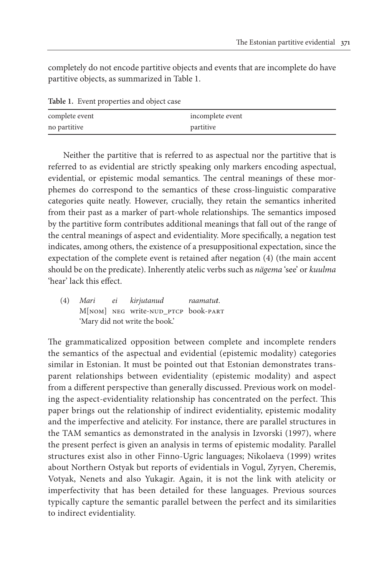completely do not encode partitive objects and events that are incomplete do have partitive objects, as summarized in Table 1.

| Table 1. Event properties and object case |  |
|-------------------------------------------|--|
|-------------------------------------------|--|

| complete event | incomplete event |
|----------------|------------------|
| no partitive   | partitive        |

Neither the partitive that is referred to as aspectual nor the partitive that is referred to as evidential are strictly speaking only markers encoding aspectual, evidential, or epistemic modal semantics. The central meanings of these morphemes do correspond to the semantics of these cross-linguistic comparative categories quite neatly. However, crucially, they retain the semantics inherited from their past as a marker of part-whole relationships. The semantics imposed by the partitive form contributes additional meanings that fall out of the range of the central meanings of aspect and evidentiality. More specifically, a negation test indicates, among others, the existence of a presuppositional expectation, since the expectation of the complete event is retained after negation (4) (the main accent should be on the predicate). Inherently atelic verbs such as *nägema* 'see' or *kuulma* 'hear' lack this effect.

(4) *Mari ei kirjutanud raamatut*. M[NOM] NEG Write-NUD PTCP book-PART 'Mary did not write the book.'

The grammaticalized opposition between complete and incomplete renders the semantics of the aspectual and evidential (epistemic modality) categories similar in Estonian. It must be pointed out that Estonian demonstrates transparent relationships between evidentiality (epistemic modality) and aspect from a different perspective than generally discussed. Previous work on modeling the aspect-evidentiality relationship has concentrated on the perfect. This paper brings out the relationship of indirect evidentiality, epistemic modality and the imperfective and atelicity. For instance, there are parallel structures in the TAM semantics as demonstrated in the analysis in Izvorski (1997), where the present perfect is given an analysis in terms of epistemic modality. Parallel structures exist also in other Finno-Ugric languages; Nikolaeva (1999) writes about Northern Ostyak but reports of evidentials in Vogul, Zyryen, Cheremis, Votyak, Nenets and also Yukagir. Again, it is not the link with atelicity or imperfectivity that has been detailed for these languages. Previous sources typically capture the semantic parallel between the perfect and its similarities to indirect evidentiality.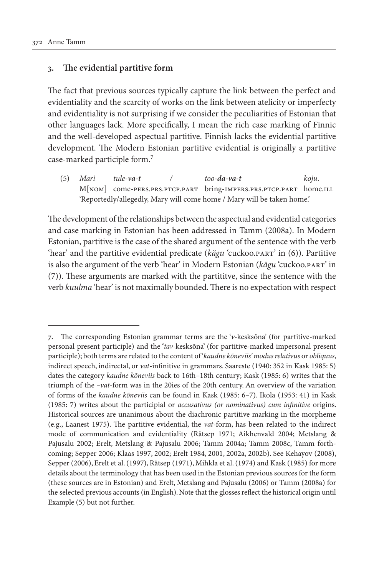## **3. The evidential partitive form**

The fact that previous sources typically capture the link between the perfect and evidentiality and the scarcity of works on the link between atelicity or imperfecty and evidentiality is not surprising if we consider the peculiarities of Estonian that other languages lack. More specifically, I mean the rich case marking of Finnic and the well-developed aspectual partitive. Finnish lacks the evidential partitive development. The Modern Estonian partitive evidential is originally a partitive case-marked participle form.7

(5) *Mari tule-va-t / too-da-va-t koju*. M[nom] come-pers.prs.ptcp.part bring-impers.prs.ptcp.part home.ill 'Reportedly/allegedly, Mary will come home / Mary will be taken home.'

The development of the relationships between the aspectual and evidential categories and case marking in Estonian has been addressed in Tamm (2008a). In Modern Estonian, partitive is the case of the shared argument of the sentence with the verb 'hear' and the partitive evidential predicate (kägu 'cuckoo.pART' in (6)). Partitive is also the argument of the verb 'hear' in Modern Estonian (*kägu* 'cuckoo.part' in (7)). These arguments are marked with the partititve, since the sentence with the verb *kuulma* 'hear' is not maximally bounded. There is no expectation with respect

**<sup>7.</sup>** The corresponding Estonian grammar terms are the '*v-*kesksõna' (for partitive-marked personal present participle) and the '*tav-*kesksõna' (for partitive-marked impersonal present participle); both terms are related to the content of '*kaudne kõneviis' modus relativus* or *obliquus*, indirect speech, indirectal, or *vat*-infinitive in grammars. Saareste (1940: 352 in Kask 1985: 5) dates the category *kaudne kõneviis* back to 16th–18th century; Kask (1985: 6) writes that the triumph of the *–vat*-form was in the 20ies of the 20th century. An overview of the variation of forms of the *kaudne kõneviis* can be found in Kask (1985: 6–7). Ikola (1953: 41) in Kask (1985: 7) writes about the participial or *accusativus (or nominativus) cum infinitive* origins. Historical sources are unanimous about the diachronic partitive marking in the morpheme (e.g., Laanest 1975). The partitive evidential, the *vat*-form, has been related to the indirect mode of communication and evidentiality (Rätsep 1971; Aikhenvald 2004; Metslang & Pajusalu 2002; Erelt, Metslang & Pajusalu 2006; Tamm 2004a; Tamm 2008c, Tamm forthcoming; Sepper 2006; Klaas 1997, 2002; Erelt 1984, 2001, 2002a, 2002b). See Kehayov (2008), Sepper (2006), Erelt et al. (1997), Rätsep (1971), Mihkla et al. (1974) and Kask (1985) for more details about the terminology that has been used in the Estonian previous sources for the form (these sources are in Estonian) and Erelt, Metslang and Pajusalu (2006) or Tamm (2008a) for the selected previous accounts (in English). Note that the glosses reflect the historical origin until Example (5) but not further.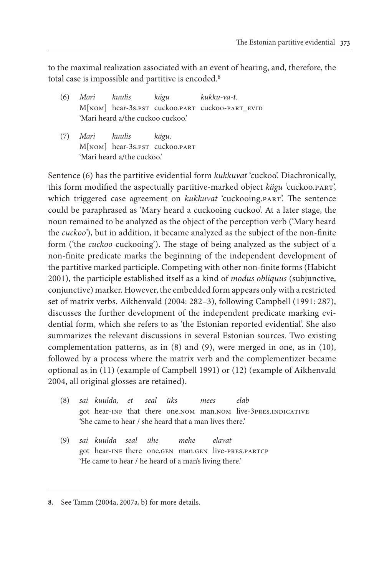to the maximal realization associated with an event of hearing, and, therefore, the total case is impossible and partitive is encoded.<sup>8</sup>

|  |                                   | (6) Mari kuulis kägu kukku-va-t. |                                                 |
|--|-----------------------------------|----------------------------------|-------------------------------------------------|
|  |                                   |                                  | M[NOM] hear-3s.PST cuckoo.PART cuckoo-PART EVID |
|  | 'Mari heard a/the cuckoo cuckoo.' |                                  |                                                 |
|  | (7) Mari kuulis kägu.             |                                  |                                                 |
|  |                                   | M[NOM] hear-3s.PST cuck00.PART   |                                                 |

'Mari heard a/the cuckoo.'

Sentence (6) has the partitive evidential form *kukkuvat* 'cuckoo'. Diachronically, this form modified the aspectually partitive-marked object *kägu* 'cuckoo.part', which triggered case agreement on *kukkuvat* 'cuckooing.part'. The sentence could be paraphrased as 'Mary heard a cuckooing cuckoo'. At a later stage, the noun remained to be analyzed as the object of the perception verb ('Mary heard the *cuckoo'*), but in addition, it became analyzed as the subject of the non-finite form ('the *cuckoo* cuckooing'). The stage of being analyzed as the subject of a non-finite predicate marks the beginning of the independent development of the partitive marked participle. Competing with other non-finite forms (Habicht 2001), the participle established itself as a kind of *modus obliquus* (subjunctive, conjunctive) marker. However, the embedded form appears only with a restricted set of matrix verbs. Aikhenvald (2004: 282–3), following Campbell (1991: 287), discusses the further development of the independent predicate marking evidential form, which she refers to as 'the Estonian reported evidential'. She also summarizes the relevant discussions in several Estonian sources. Two existing complementation patterns, as in (8) and (9), were merged in one, as in (10), followed by a process where the matrix verb and the complementizer became optional as in (11) (example of Campbell 1991) or (12) (example of Aikhenvald 2004, all original glosses are retained).

- (8) *sai kuulda, et seal üks mees elab* got hear-INF that there one.NOM man.NOM live-3PRES.INDICATIVE 'She came to hear / she heard that a man lives there.'
- (9) *sai kuulda seal ühe mehe elavat* got hear-INF there one.GEN man.GEN live-PRES.PARTCP 'He came to hear / he heard of a man's living there.'

**<sup>8.</sup>** See Tamm (2004a, 2007a, b) for more details.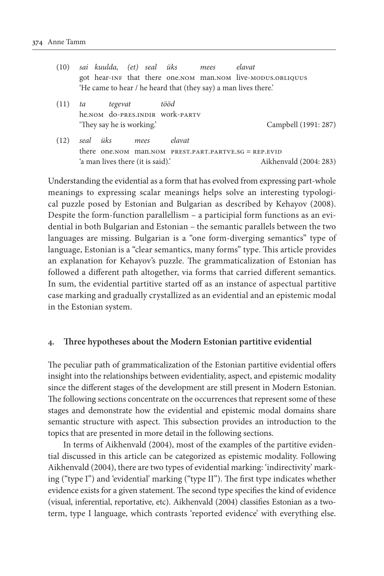- (10) *sai kuulda, (et) seal üks mees elavat* got hear-inf that there one.nom man.nom live-modus.obliquus 'He came to hear / he heard that (they say) a man lives there.'
- (11) *ta tegevat tööd* he.nom do-pres.indir work-partv 'They say he is working.' Campbell (1991: 287)
- (12) *seal üks mees elavat* there one.nom man.nom PREST.PART.PARTVE.SG = REP.EVID 'a man lives there (it is said).' Aikhenvald (2004: 283)

Understanding the evidential as a form that has evolved from expressing part-whole meanings to expressing scalar meanings helps solve an interesting typological puzzle posed by Estonian and Bulgarian as described by Kehayov (2008). Despite the form-function parallellism – a participial form functions as an evidential in both Bulgarian and Estonian – the semantic parallels between the two languages are missing. Bulgarian is a "one form-diverging semantics" type of language, Estonian is a "clear semantics, many forms" type. This article provides an explanation for Kehayov's puzzle. The grammaticalization of Estonian has followed a different path altogether, via forms that carried different semantics. In sum, the evidential partitive started off as an instance of aspectual partitive case marking and gradually crystallized as an evidential and an epistemic modal in the Estonian system.

#### **4. Three hypotheses about the Modern Estonian partitive evidential**

The peculiar path of grammaticalization of the Estonian partitive evidential offers insight into the relationships between evidentiality, aspect, and epistemic modality since the different stages of the development are still present in Modern Estonian. The following sections concentrate on the occurrences that represent some of these stages and demonstrate how the evidential and epistemic modal domains share semantic structure with aspect. This subsection provides an introduction to the topics that are presented in more detail in the following sections.

In terms of Aikhenvald (2004), most of the examples of the partitive evidential discussed in this article can be categorized as epistemic modality. Following Aikhenvald (2004), there are two types of evidential marking: 'indirectivity' marking ("type I") and 'evidential' marking ("type II"). The first type indicates whether evidence exists for a given statement. The second type specifies the kind of evidence (visual, inferential, reportative, etc). Aikhenvald (2004) classifies Estonian as a twoterm, type I language, which contrasts 'reported evidence' with everything else.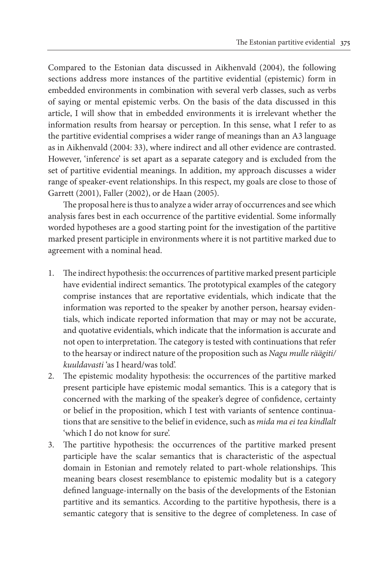Compared to the Estonian data discussed in Aikhenvald (2004), the following sections address more instances of the partitive evidential (epistemic) form in embedded environments in combination with several verb classes, such as verbs of saying or mental epistemic verbs. On the basis of the data discussed in this article, I will show that in embedded environments it is irrelevant whether the information results from hearsay or perception. In this sense, what I refer to as the partitive evidential comprises a wider range of meanings than an A3 language as in Aikhenvald (2004: 33), where indirect and all other evidence are contrasted. However, 'inference' is set apart as a separate category and is excluded from the set of partitive evidential meanings. In addition, my approach discusses a wider range of speaker-event relationships. In this respect, my goals are close to those of Garrett (2001), Faller (2002), or de Haan (2005).

The proposal here is thus to analyze a wider array of occurrences and see which analysis fares best in each occurrence of the partitive evidential. Some informally worded hypotheses are a good starting point for the investigation of the partitive marked present participle in environments where it is not partitive marked due to agreement with a nominal head.

- 1. The indirect hypothesis: the occurrences of partitive marked present participle have evidential indirect semantics. The prototypical examples of the category comprise instances that are reportative evidentials, which indicate that the information was reported to the speaker by another person, hearsay evidentials, which indicate reported information that may or may not be accurate, and quotative evidentials, which indicate that the information is accurate and not open to interpretation. The category is tested with continuations that refer to the hearsay or indirect nature of the proposition such as *Nagu mulle räägiti/ kuuldavasti* 'as I heard/was told'.
- 2. The epistemic modality hypothesis: the occurrences of the partitive marked present participle have epistemic modal semantics. This is a category that is concerned with the marking of the speaker's degree of confidence, certainty or belief in the proposition, which I test with variants of sentence continuations that are sensitive to the belief in evidence, such as *mida ma ei tea kindlalt* 'which I do not know for sure'.
- 3. The partitive hypothesis: the occurrences of the partitive marked present participle have the scalar semantics that is characteristic of the aspectual domain in Estonian and remotely related to part-whole relationships. This meaning bears closest resemblance to epistemic modality but is a category defined language-internally on the basis of the developments of the Estonian partitive and its semantics. According to the partitive hypothesis, there is a semantic category that is sensitive to the degree of completeness. In case of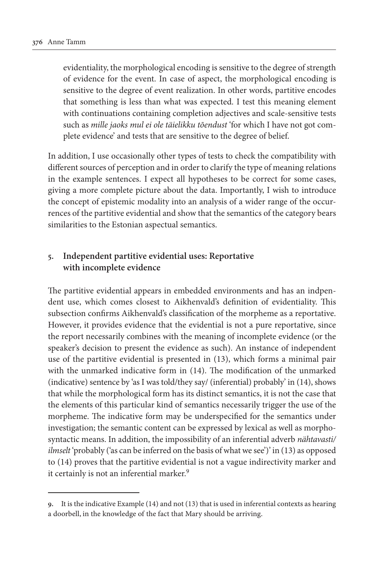evidentiality, the morphological encoding is sensitive to the degree of strength of evidence for the event. In case of aspect, the morphological encoding is sensitive to the degree of event realization. In other words, partitive encodes that something is less than what was expected. I test this meaning element with continuations containing completion adjectives and scale-sensitive tests such as *mille jaoks mul ei ole täielikku tõendust* 'for which I have not got complete evidence' and tests that are sensitive to the degree of belief.

In addition, I use occasionally other types of tests to check the compatibility with different sources of perception and in order to clarify the type of meaning relations in the example sentences. I expect all hypotheses to be correct for some cases, giving a more complete picture about the data. Importantly, I wish to introduce the concept of epistemic modality into an analysis of a wider range of the occurrences of the partitive evidential and show that the semantics of the category bears similarities to the Estonian aspectual semantics.

# **5. Independent partitive evidential uses: Reportative with incomplete evidence**

The partitive evidential appears in embedded environments and has an indpendent use, which comes closest to Aikhenvald's definition of evidentiality. This subsection confirms Aikhenvald's classification of the morpheme as a reportative. However, it provides evidence that the evidential is not a pure reportative, since the report necessarily combines with the meaning of incomplete evidence (or the speaker's decision to present the evidence as such). An instance of independent use of the partitive evidential is presented in (13), which forms a minimal pair with the unmarked indicative form in (14). The modification of the unmarked (indicative) sentence by 'as I was told/they say/ (inferential) probably' in (14), shows that while the morphological form has its distinct semantics, it is not the case that the elements of this particular kind of semantics necessarily trigger the use of the morpheme. The indicative form may be underspecified for the semantics under investigation; the semantic content can be expressed by lexical as well as morphosyntactic means. In addition, the impossibility of an inferential adverb *nähtavasti/ ilmselt* 'probably ('as can be inferred on the basis of what we see')' in (13) as opposed to (14) proves that the partitive evidential is not a vague indirectivity marker and it certainly is not an inferential marker.<sup>9</sup>

**<sup>9.</sup>** It is the indicative Example (14) and not (13) that is used in inferential contexts as hearing a doorbell, in the knowledge of the fact that Mary should be arriving.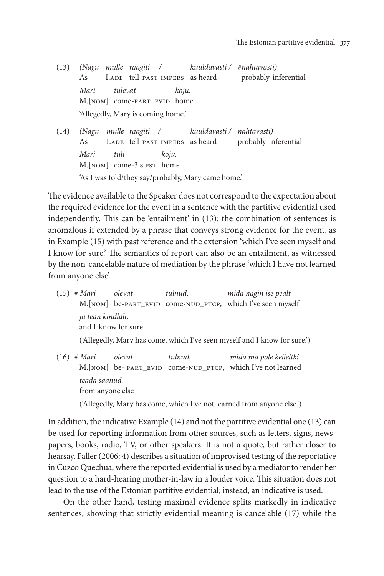- (13) *(Nagu mulle räägiti / kuuldavasti / #nähtavasti)* As I.ADE tell-past-impers as heard probably-inferential *Mari tulevat koju.* M.[NOM] come-PART EVID home 'Allegedly, Mary is coming home.'
- (14) *(Nagu mulle räägiti / kuuldavasti / nähtavasti)* As I.ADE tell-PAST-IMPERS as heard probably-inferential *Mari tuli koju.* M.[NOM] come-3.s.pst home 'As I was told/they say/probably, Mary came home.'

The evidence available to the Speaker does not correspond to the expectation about the required evidence for the event in a sentence with the partitive evidential used independently. This can be 'entailment' in (13); the combination of sentences is anomalous if extended by a phrase that conveys strong evidence for the event, as in Example (15) with past reference and the extension 'which I've seen myself and I know for sure.' The semantics of report can also be an entailment, as witnessed by the non-cancelable nature of mediation by the phrase 'which I have not learned from anyone else'.

- (15) # *Mari olevat tulnud, mida nägin ise pealt* M.[NOM] be-PART\_EVID come-NUD\_PTCP, which I've seen myself *ja tean kindlalt.* and I know for sure. ('Allegedly, Mary has come, which I've seen myself and I know for sure.')
- (16) # *Mari olevat tulnud, mida ma pole kelleltki* M.[NOM] be- PART\_EVID come-NUD\_PTCP, which I've not learned *teada saanud.* from anyone else

('Allegedly, Mary has come, which I've not learned from anyone else.')

In addition, the indicative Example (14) and not the partitive evidential one (13) can be used for reporting information from other sources, such as letters, signs, newspapers, books, radio, TV, or other speakers. It is not a quote, but rather closer to hearsay. Faller (2006: 4) describes a situation of improvised testing of the reportative in Cuzco Quechua, where the reported evidential is used by a mediator to render her question to a hard-hearing mother-in-law in a louder voice. This situation does not lead to the use of the Estonian partitive evidential; instead, an indicative is used.

On the other hand, testing maximal evidence splits markedly in indicative sentences, showing that strictly evidential meaning is cancelable (17) while the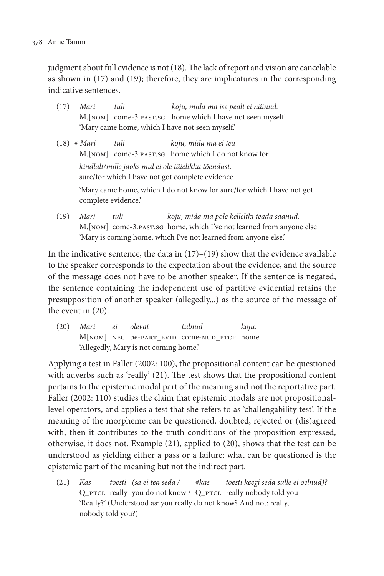judgment about full evidence is not (18). The lack of report and vision are cancelable as shown in (17) and (19); therefore, they are implicatures in the corresponding indicative sentences.

(17) *Mari tuli koju, mida ma ise pealt ei näinud.* M.[NOM] come-3.past.sg home which I have not seen myself 'Mary came home, which I have not seen myself.'

(18) # *Mari tuli koju, mida ma ei tea* M.[NOM] come-3.past.sg home which I do not know for *kindlalt/mille jaoks mul ei ole täielikku tõendust.* sure/for which I have not got complete evidence. 'Mary came home, which I do not know for sure/for which I have not got complete evidence.'

(19) *Mari tuli koju, mida ma pole kelleltki teada saanud.* M.[NOM] come-3.PAST.SG home, which I've not learned from anyone else 'Mary is coming home, which I've not learned from anyone else.'

In the indicative sentence, the data in  $(17)$ – $(19)$  show that the evidence available to the speaker corresponds to the expectation about the evidence, and the source of the message does not have to be another speaker. If the sentence is negated, the sentence containing the independent use of partitive evidential retains the presupposition of another speaker (allegedly...) as the source of the message of the event in (20).

(20) *Mari ei olevat tulnud koju.* M[nom] neg be-part\_evid come-nud\_ptcp home 'Allegedly, Mary is not coming home.'

Applying a test in Faller (2002: 100), the propositional content can be questioned with adverbs such as 'really' (21). The test shows that the propositional content pertains to the epistemic modal part of the meaning and not the reportative part. Faller (2002: 110) studies the claim that epistemic modals are not propositionallevel operators, and applies a test that she refers to as 'challengability test'. If the meaning of the morpheme can be questioned, doubted, rejected or (dis)agreed with, then it contributes to the truth conditions of the proposition expressed, otherwise, it does not. Example (21), applied to (20), shows that the test can be understood as yielding either a pass or a failure; what can be questioned is the epistemic part of the meaning but not the indirect part.

(21) *Kas tõesti (sa ei tea seda / #kas tõesti keegi seda sulle ei öelnud)?* Q\_PTCL really you do not know / Q\_PTCL really nobody told you 'Really?' (Understood as: you really do not know? And not: really, nobody told you?)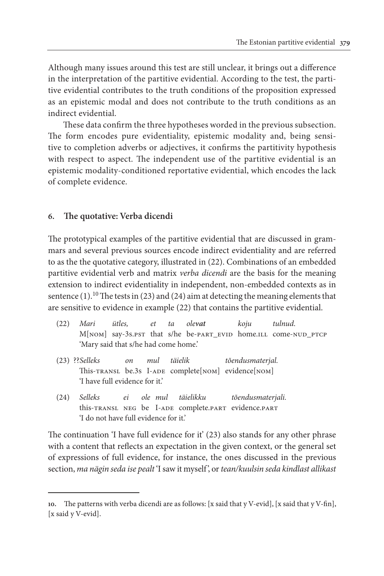Although many issues around this test are still unclear, it brings out a difference in the interpretation of the partitive evidential. According to the test, the partitive evidential contributes to the truth conditions of the proposition expressed as an epistemic modal and does not contribute to the truth conditions as an indirect evidential.

These data confirm the three hypotheses worded in the previous subsection. The form encodes pure evidentiality, epistemic modality and, being sensitive to completion adverbs or adjectives, it confirms the partitivity hypothesis with respect to aspect. The independent use of the partitive evidential is an epistemic modality-conditioned reportative evidential, which encodes the lack of complete evidence.

### **6. The quotative: Verba dicendi**

The prototypical examples of the partitive evidential that are discussed in grammars and several previous sources encode indirect evidentiality and are referred to as the the quotative category, illustrated in (22). Combinations of an embedded partitive evidential verb and matrix *verba dicendi* are the basis for the meaning extension to indirect evidentiality in independent, non-embedded contexts as in sentence  $(1)$ .<sup>10</sup> The tests in  $(23)$  and  $(24)$  aim at detecting the meaning elements that are sensitive to evidence in example (22) that contains the partitive evidential.

- (22) *Mari ütles, et ta olevat koju tulnud*. M[NOM] say-3s.pst that s/he be-part\_evid home.ill come-NUD\_PTCP 'Mary said that s/he had come home.'
- (23) ??*Selleks on mul täielik tõendusmaterjal.* This-TRANSL be.3s I-ADE complete[NOM] evidence[NOM] 'I have full evidence for it.'
- (24) *Selleks ei ole mul täielikku tõendusmaterjali.* this-TRANSL NEG be I-ADE complete.PART evidence.PART 'I do not have full evidence for it.'

The continuation 'I have full evidence for it' (23) also stands for any other phrase with a content that reflects an expectation in the given context, or the general set of expressions of full evidence, for instance, the ones discussed in the previous section, *ma nägin seda ise pealt* 'I saw it myself ', or *tean/kuulsin seda kindlast allikast*

**<sup>10.</sup>** The patterns with verba dicendi are as follows: [x said that y V-evid], [x said that y V-fin], [x said y V-evid].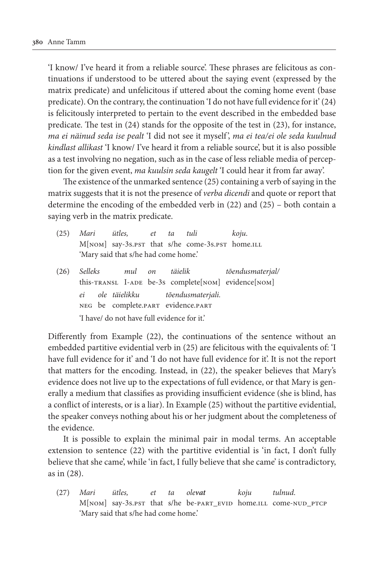'I know/ I've heard it from a reliable source'. These phrases are felicitous as continuations if understood to be uttered about the saying event (expressed by the matrix predicate) and unfelicitous if uttered about the coming home event (base predicate). On the contrary, the continuation 'I do not have full evidence for it' (24) is felicitously interpreted to pertain to the event described in the embedded base predicate. The test in (24) stands for the opposite of the test in (23), for instance, *ma ei näinud seda ise pealt* 'I did not see it myself ', *ma ei tea/ei ole seda kuulnud kindlast allikast* 'I know/ I've heard it from a reliable source', but it is also possible as a test involving no negation, such as in the case of less reliable media of perception for the given event, *ma kuulsin seda kaugelt* 'I could hear it from far away'.

The existence of the unmarked sentence (25) containing a verb of saying in the matrix suggests that it is not the presence of *verba dicendi* and quote or report that determine the encoding of the embedded verb in (22) and (25) – both contain a saying verb in the matrix predicate.

- (25) *Mari ütles, et ta tuli koju*. M[NOM] say-3s.pst that s/he come-3s.pst home.ill 'Mary said that s/he had come home.'
- (26) *Selleks mul on täielik tõendusmaterjal/* this-TRANSL I-ADE be-3s complete[NOM] evidence[NOM] *ei ole täielikku tõendusmaterjali.* NEG be complete.PART evidence.PART 'I have/ do not have full evidence for it.'

Differently from Example (22), the continuations of the sentence without an embedded partitive evidential verb in (25) are felicitous with the equivalents of: 'I have full evidence for it' and 'I do not have full evidence for it'. It is not the report that matters for the encoding. Instead, in (22), the speaker believes that Mary's evidence does not live up to the expectations of full evidence, or that Mary is generally a medium that classifies as providing insufficient evidence (she is blind, has a conflict of interests, or is a liar). In Example (25) without the partitive evidential, the speaker conveys nothing about his or her judgment about the completeness of the evidence.

It is possible to explain the minimal pair in modal terms. An acceptable extension to sentence (22) with the partitive evidential is 'in fact, I don't fully believe that she came', while 'in fact, I fully believe that she came' is contradictory, as in (28).

(27) *Mari ütles, et ta olevat koju tulnud*. M[NOM] say-3s.pst that s/he be-part\_evid home.ill come-NUD\_PTCP 'Mary said that s/he had come home.'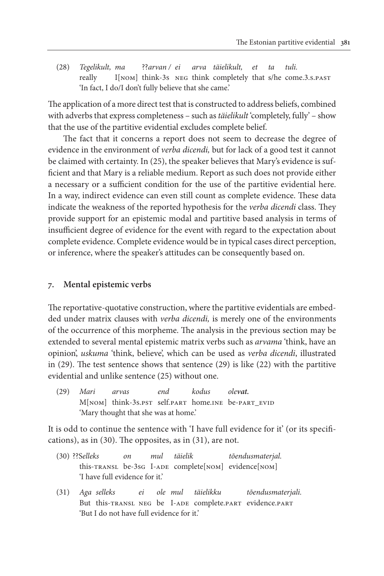(28) *Tegelikult, ma* ??*arvan / ei arva täielikult, et ta tuli.* really I[NOM] think-3s NEG think completely that s/he come.3.s.past 'In fact, I do/I don't fully believe that she came.'

The application of a more direct test that is constructed to address beliefs, combined with adverbs that express completeness – such as *täielikult* 'completely, fully' – show that the use of the partitive evidential excludes complete belief.

The fact that it concerns a report does not seem to decrease the degree of evidence in the environment of *verba dicendi,* but for lack of a good test it cannot be claimed with certainty. In (25), the speaker believes that Mary's evidence is sufficient and that Mary is a reliable medium. Report as such does not provide either a necessary or a sufficient condition for the use of the partitive evidential here. In a way, indirect evidence can even still count as complete evidence. These data indicate the weakness of the reported hypothesis for the *verba dicendi* class. They provide support for an epistemic modal and partitive based analysis in terms of insufficient degree of evidence for the event with regard to the expectation about complete evidence. Complete evidence would be in typical cases direct perception, or inference, where the speaker's attitudes can be consequently based on.

#### **7. Mental epistemic verbs**

The reportative-quotative construction, where the partitive evidentials are embedded under matrix clauses with *verba dicendi,* is merely one of the environments of the occurrence of this morpheme. The analysis in the previous section may be extended to several mental epistemic matrix verbs such as *arvama* 'think, have an opinion', *uskuma* 'think, believe', which can be used as *verba dicendi*, illustrated in (29). The test sentence shows that sentence (29) is like (22) with the partitive evidential and unlike sentence (25) without one.

(29) *Mari arvas end kodus olevat.* M[NOM] think-3s.pst self.part home.ine be-part\_evid 'Mary thought that she was at home.'

It is odd to continue the sentence with 'I have full evidence for it' (or its specifications), as in (30). The opposites, as in (31), are not.

- (30) ??S*elleks on mul täielik tõendusmaterjal.* this-TRANSL be-3sG I-ADE complete[NOM] evidence[NOM] 'I have full evidence for it.'
- (31) *Aga selleks ei ole mul täielikku tõendusmaterjali.* But this-TRANSL NEG be I-ADE complete.PART evidence.PART 'But I do not have full evidence for it.'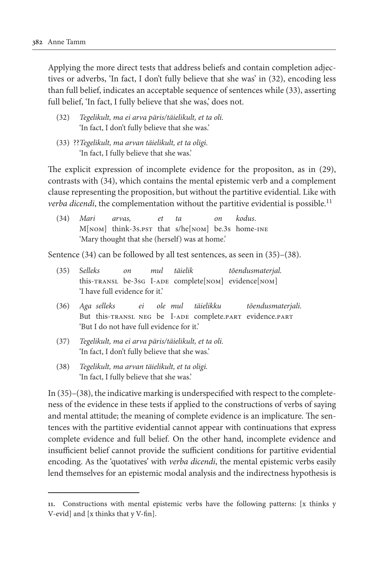Applying the more direct tests that address beliefs and contain completion adjectives or adverbs, 'In fact, I don't fully believe that she was' in (32), encoding less than full belief, indicates an acceptable sequence of sentences while (33), asserting full belief, 'In fact, I fully believe that she was,' does not.

- (32) *Tegelikult, ma ei arva päris/täielikult, et ta oli.* 'In fact, I don't fully believe that she was.'
- (33) ??*Tegelikult, ma arvan täielikult, et ta oligi.* 'In fact, I fully believe that she was.'

The explicit expression of incomplete evidence for the propositon, as in (29), contrasts with (34), which contains the mental epistemic verb and a complement clause representing the proposition, but without the partitive evidential. Like with *verba dicendi*, the complementation without the partitive evidential is possible.<sup>11</sup>

|                                                |  |  | (34) Mari arvas.                                  | et | ta. | on | kodus. |
|------------------------------------------------|--|--|---------------------------------------------------|----|-----|----|--------|
|                                                |  |  | M[NOM] think-3s.pst that s/he[NOM] be.3s home-INE |    |     |    |        |
| 'Mary thought that she (herself) was at home.' |  |  |                                                   |    |     |    |        |

Sentence (34) can be followed by all test sentences, as seen in (35)–(38).

- (35) S*elleks on mul täielik tõendusmaterjal.* this-TRANSL be-3sG I-ADE complete[NOM] evidence[NOM] 'I have full evidence for it.'
- (36) *Aga selleks ei ole mul täielikku tõendusmaterjali.* But this-TRANSL NEG be I-ADE complete.PART evidence.PART 'But I do not have full evidence for it.'
- (37) *Tegelikult, ma ei arva päris/täielikult, et ta oli.* 'In fact, I don't fully believe that she was.'
- (38) *Tegelikult, ma arvan täielikult, et ta oligi.* 'In fact, I fully believe that she was.'

In (35)–(38), the indicative marking is underspecified with respect to the completeness of the evidence in these tests if applied to the constructions of verbs of saying and mental attitude; the meaning of complete evidence is an implicature. The sentences with the partitive evidential cannot appear with continuations that express complete evidence and full belief. On the other hand, incomplete evidence and insufficient belief cannot provide the sufficient conditions for partitive evidential encoding. As the 'quotatives' with *verba dicendi*, the mental epistemic verbs easily lend themselves for an epistemic modal analysis and the indirectness hypothesis is

**<sup>11.</sup>** Constructions with mental epistemic verbs have the following patterns: [x thinks y V-evid] and [x thinks that y V-fin].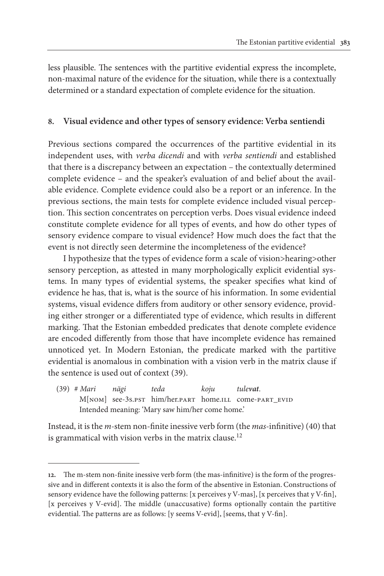less plausible. The sentences with the partitive evidential express the incomplete, non-maximal nature of the evidence for the situation, while there is a contextually determined or a standard expectation of complete evidence for the situation.

### **8. Visual evidence and other types of sensory evidence: Verba sentiendi**

Previous sections compared the occurrences of the partitive evidential in its independent uses, with *verba dicendi* and with *verba sentiendi* and established that there is a discrepancy between an expectation – the contextually determined complete evidence – and the speaker's evaluation of and belief about the available evidence. Complete evidence could also be a report or an inference. In the previous sections, the main tests for complete evidence included visual perception. This section concentrates on perception verbs. Does visual evidence indeed constitute complete evidence for all types of events, and how do other types of sensory evidence compare to visual evidence? How much does the fact that the event is not directly seen determine the incompleteness of the evidence?

I hypothesize that the types of evidence form a scale of vision>hearing>other sensory perception, as attested in many morphologically explicit evidential systems. In many types of evidential systems, the speaker specifies what kind of evidence he has, that is, what is the source of his information. In some evidential systems, visual evidence differs from auditory or other sensory evidence, providing either stronger or a differentiated type of evidence, which results in different marking. That the Estonian embedded predicates that denote complete evidence are encoded differently from those that have incomplete evidence has remained unnoticed yet. In Modern Estonian, the predicate marked with the partitive evidential is anomalous in combination with a vision verb in the matrix clause if the sentence is used out of context (39).

(39) # *Mari nägi teda koju tulevat*. M[NOM] see-3s.pst him/her.part home.ill come-part\_evid Intended meaning: 'Mary saw him/her come home.'

Instead, it is the *m-*stem non-finite inessive verb form (the *mas-*infinitive) (40) that is grammatical with vision verbs in the matrix clause.<sup>12</sup>

**<sup>12.</sup>** The m-stem non-finite inessive verb form (the mas-infinitive) is the form of the progressive and in different contexts it is also the form of the absentive in Estonian. Constructions of sensory evidence have the following patterns: [x perceives y V-mas], [x perceives that y V-fin], [x perceives y V-evid]. The middle (unaccusative) forms optionally contain the partitive evidential. The patterns are as follows: [y seems V-evid], [seems, that y V-fin].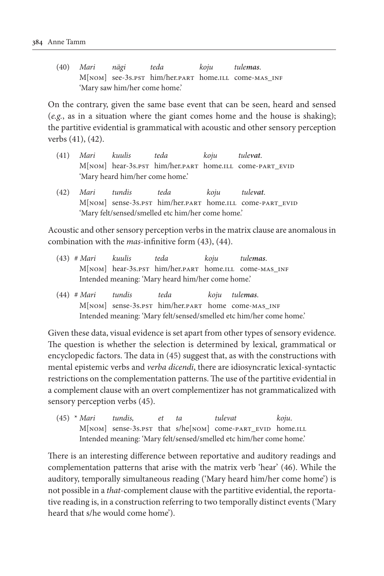(40) *Mari nägi teda koju tulemas*. M[nom] see-3s.pst him/her.part home.ill come-mas\_inf 'Mary saw him/her come home.'

On the contrary, given the same base event that can be seen, heard and sensed (*e.g.*, as in a situation where the giant comes home and the house is shaking); the partitive evidential is grammatical with acoustic and other sensory perception verbs (41), (42).

| (41) | Mari kuulis                     | teda | koju | tulevat.                                                |
|------|---------------------------------|------|------|---------------------------------------------------------|
|      |                                 |      |      | M[NOM] hear-3s.pst him/her.part home.ill come-part EVID |
|      | 'Mary heard him/her come home.' |      |      |                                                         |

(42) *Mari tundis teda koju tulevat*. M[NOM] sense-3s.pst him/her.part home.ill come-part EVID 'Mary felt/sensed/smelled etc him/her come home.'

Acoustic and other sensory perception verbs in the matrix clause are anomalous in combination with the *mas-*infinitive form (43), (44).

|                                                   |  | $(43)$ # Mari   | kuulis    | teda | koju         | tulemas.                                              |
|---------------------------------------------------|--|-----------------|-----------|------|--------------|-------------------------------------------------------|
|                                                   |  |                 |           |      |              | M[NOM] hear-3s.pst him/her.part home.ill come-mas_INF |
| Intended meaning: 'Mary heard him/her come home.' |  |                 |           |      |              |                                                       |
|                                                   |  | $(AA)$ + $Maai$ | $t$ undic | tada | koju tulomac |                                                       |

(44) # *Mari tundis teda koju tulemas*. M[nom] sense-3s.pst him/her.part home come-mas\_inf Intended meaning: 'Mary felt/sensed/smelled etc him/her come home.'

Given these data, visual evidence is set apart from other types of sensory evidence. The question is whether the selection is determined by lexical, grammatical or encyclopedic factors. The data in (45) suggest that, as with the constructions with mental epistemic verbs and *verba dicendi*, there are idiosyncratic lexical-syntactic restrictions on the complementation patterns. The use of the partitive evidential in a complement clause with an overt complementizer has not grammaticalized with sensory perception verbs (45).

|  | $(45)$ * Mari tundis. | et | ta | tulevat                                                             | koju. |
|--|-----------------------|----|----|---------------------------------------------------------------------|-------|
|  |                       |    |    | M[NOM] sense-3s.pst that s/he[NOM] come-part evip home.ill          |       |
|  |                       |    |    | Intended meaning: 'Mary felt/sensed/smelled etc him/her come home.' |       |

There is an interesting difference between reportative and auditory readings and complementation patterns that arise with the matrix verb 'hear' (46). While the auditory, temporally simultaneous reading ('Mary heard him/her come home') is not possible in a *that*-complement clause with the partitive evidential, the reportative reading is, in a construction referring to two temporally distinct events ('Mary heard that s/he would come home').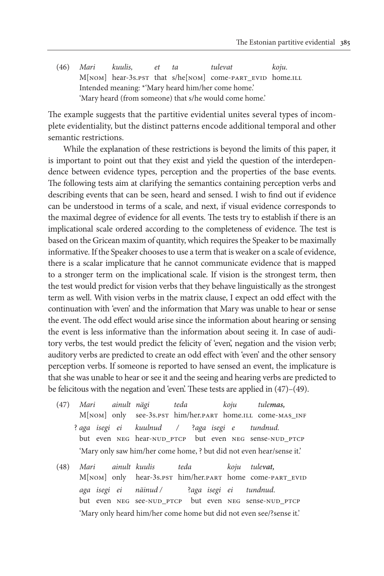(46) *Mari kuulis, et ta tulevat koju.*  $M$ [NOM] hear-3s.pst that s/he[NOM] come-part evip home.ill Intended meaning: \*'Mary heard him/her come home.' 'Mary heard (from someone) that s/he would come home.'

The example suggests that the partitive evidential unites several types of incomplete evidentiality, but the distinct patterns encode additional temporal and other semantic restrictions.

While the explanation of these restrictions is beyond the limits of this paper, it is important to point out that they exist and yield the question of the interdependence between evidence types, perception and the properties of the base events. The following tests aim at clarifying the semantics containing perception verbs and describing events that can be seen, heard and sensed. I wish to find out if evidence can be understood in terms of a scale, and next, if visual evidence corresponds to the maximal degree of evidence for all events. The tests try to establish if there is an implicational scale ordered according to the completeness of evidence. The test is based on the Gricean maxim of quantity, which requires the Speaker to be maximally informative. If the Speaker chooses to use a term that is weaker on a scale of evidence, there is a scalar implicature that he cannot communicate evidence that is mapped to a stronger term on the implicational scale. If vision is the strongest term, then the test would predict for vision verbs that they behave linguistically as the strongest term as well. With vision verbs in the matrix clause, I expect an odd effect with the continuation with 'even' and the information that Mary was unable to hear or sense the event. The odd effect would arise since the information about hearing or sensing the event is less informative than the information about seeing it. In case of auditory verbs, the test would predict the felicity of 'even', negation and the vision verb; auditory verbs are predicted to create an odd effect with 'even' and the other sensory perception verbs. If someone is reported to have sensed an event, the implicature is that she was unable to hear or see it and the seeing and hearing verbs are predicted to be felicitous with the negation and 'even'. These tests are applied in (47)–(49).

- (47) *Mari ainult nägi teda koju tulemas,* M[NOM] only see-3s.pst him/her.part home.ill come-MAS\_INF ? *aga isegi ei kuulnud /* ?*aga isegi e tundnud.* but even NEG hear-NUD\_PTCP but even NEG sense-NUD\_PTCP 'Mary only saw him/her come home, ? but did not even hear/sense it.'
- (48) *Mari ainult kuulis teda koju tulevat,* M[NOM] only hear-3s.pst him/her.part home come-part\_evid *aga isegi ei näinud /* ?*aga isegi ei tundnud*. but even NEG see-NUD\_PTCP but even NEG sense-NUD\_PTCP 'Mary only heard him/her come home but did not even see/?sense it.'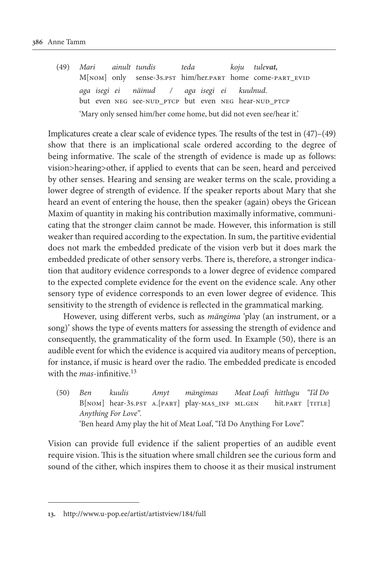(49) *Mari ainult tundis teda koju tulevat,* M[NOM] only sense-3s.pst him/her.part home come-part evid *aga isegi ei näinud / aga isegi ei kuulnud*. but even NEG see-NUD\_PTCP but even NEG hear-NUD\_PTCP 'Mary only sensed him/her come home, but did not even see/hear it.'

Implicatures create a clear scale of evidence types. The results of the test in (47)–(49) show that there is an implicational scale ordered according to the degree of being informative. The scale of the strength of evidence is made up as follows: vision>hearing>other, if applied to events that can be seen, heard and perceived by other senses. Hearing and sensing are weaker terms on the scale, providing a lower degree of strength of evidence. If the speaker reports about Mary that she heard an event of entering the house, then the speaker (again) obeys the Gricean Maxim of quantity in making his contribution maximally informative, communicating that the stronger claim cannot be made. However, this information is still weaker than required according to the expectation. In sum, the partitive evidential does not mark the embedded predicate of the vision verb but it does mark the embedded predicate of other sensory verbs. There is, therefore, a stronger indication that auditory evidence corresponds to a lower degree of evidence compared to the expected complete evidence for the event on the evidence scale. Any other sensory type of evidence corresponds to an even lower degree of evidence. This sensitivity to the strength of evidence is reflected in the grammatical marking.

However, using different verbs, such as *mängima* 'play (an instrument, or a song)' shows the type of events matters for assessing the strength of evidence and consequently, the grammaticality of the form used. In Example (50), there is an audible event for which the evidence is acquired via auditory means of perception, for instance, if music is heard over the radio. The embedded predicate is encoded with the *mas*-infinitive.<sup>13</sup>

(50) *Ben kuulis Amyt mängimas Meat Loafi hittlugu "I'd Do* B[NOM] hear-3s.pst A.[PART] play-MAS\_INF ML.GEN hit.part [TITLE] *Anything For Love".* 'Ben heard Amy play the hit of Meat Loaf, "I'd Do Anything For Love".

Vision can provide full evidence if the salient properties of an audible event require vision. This is the situation where small children see the curious form and sound of the cither, which inspires them to choose it as their musical instrument

**<sup>13.</sup>** http://www.u-pop.ee/artist/artistview/184/full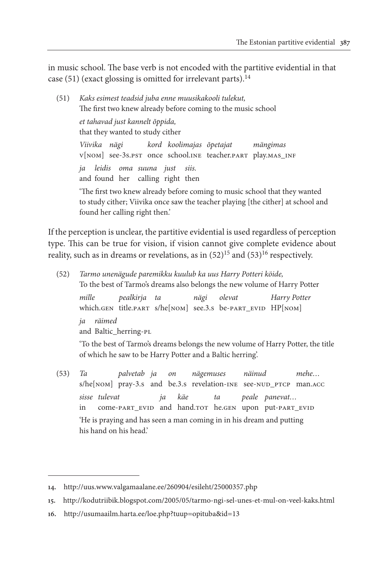in music school. The base verb is not encoded with the partitive evidential in that case (51) (exact glossing is omitted for irrelevant parts).<sup>14</sup>

(51) *Kaks esimest teadsid juba enne muusikakooli tulekut,* The first two knew already before coming to the music school *et tahavad just kannelt õppida,* that they wanted to study cither *Viivika nägi kord koolimajas õpetajat mängimas* v[NOM] see-3s.PST once school.INE teacher.PART play.MAS\_INF *ja leidis oma suuna just siis.* and found her calling right then 'The first two knew already before coming to music school that they wanted to study cither; Viivika once saw the teacher playing [the cither] at school and found her calling right then.'

If the perception is unclear, the partitive evidential is used regardless of perception type. This can be true for vision, if vision cannot give complete evidence about reality, such as in dreams or revelations, as in  $(52)^{15}$  and  $(53)^{16}$  respectively.

- (52) *Tarmo unenägude paremikku kuulub ka uus Harry Potteri köide,* To the best of Tarmo's dreams also belongs the new volume of Harry Potter *mille pealkirja ta nägi olevat Harry Potter* which.gen title.part  $s/he[nom]$  see.3.s be-part\_evid HP[NOM] *ja räimed* and Baltic\_herring-pl 'To the best of Tarmo's dreams belongs the new volume of Harry Potter, the title of which he saw to be Harry Potter and a Baltic herring'. (53) *Ta palvetab ja on nägemuses näinud mehe…*
- s/he[NOM] pray-3.s and be.3.s revelation-INE see-NUD\_PTCP man.ACC *sisse tulevat ja käe ta peale panevat…* in come-part\_evid and hand.tot he.gen upon put-part\_evid 'He is praying and has seen a man coming in in his dream and putting his hand on his head.'

**<sup>14.</sup>** http://uus.www.valgamaalane.ee/260904/esileht/25000357.php

**<sup>15.</sup>** http://kodutriibik.blogspot.com/2005/05/tarmo-ngi-sel-unes-et-mul-on-veel-kaks.html

**<sup>16.</sup>** http://usumaailm.harta.ee/loe.php?tuup=opituba&id=13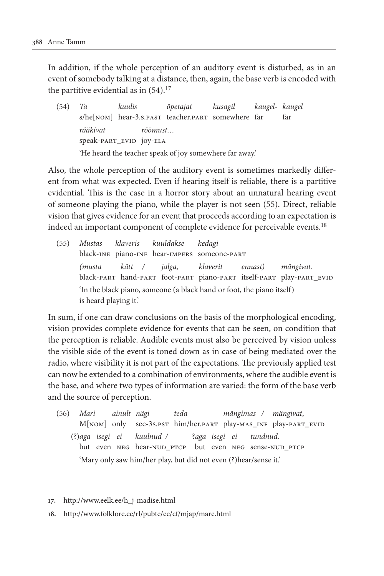In addition, if the whole perception of an auditory event is disturbed, as in an event of somebody talking at a distance, then, again, the base verb is encoded with the partitive evidential as in  $(54).^{17}$ 

(54) *Ta kuulis õpetajat kusagil kaugel- kaugel*  $s/he[$ <sub>NOM</sub> hear-3.s.past teacher.part somewhere far far far *rääkivat rõõmust…* speak-part\_evid joy-ELA 'He heard the teacher speak of joy somewhere far away.'

Also, the whole perception of the auditory event is sometimes markedly different from what was expected. Even if hearing itself is reliable, there is a partitive evidential. This is the case in a horror story about an unnatural hearing event of someone playing the piano, while the player is not seen (55). Direct, reliable vision that gives evidence for an event that proceeds according to an expectation is indeed an important component of complete evidence for perceivable events.<sup>18</sup>

(55) *Mustas klaveris kuuldakse kedagi* black-ine piano-ine hear-impers someone-part *(musta kätt / jalga, klaverit ennast) mängivat.* black-part hand-part foot-part piano-part itself-part play-part\_evid 'In the black piano, someone (a black hand or foot, the piano itself) is heard playing it.'

In sum, if one can draw conclusions on the basis of the morphological encoding, vision provides complete evidence for events that can be seen, on condition that the perception is reliable. Audible events must also be perceived by vision unless the visible side of the event is toned down as in case of being mediated over the radio, where visibility it is not part of the expectations. The previously applied test can now be extended to a combination of environments, where the audible event is the base, and where two types of information are varied: the form of the base verb and the source of perception.

(56) *Mari ainult nägi teda mängimas / mängivat*, M[NOM] only see-3s.pst him/her.part play-mas\_INF play-part\_evid (?)*aga isegi ei kuulnud /* ?*aga isegi ei tundnud.* but even NEG hear-NUD\_PTCP but even NEG sense-NUD\_PTCP 'Mary only saw him/her play, but did not even (?)hear/sense it.'

**<sup>17.</sup>** http://www.eelk.ee/h\_j-madise.html

**<sup>18.</sup>** http://www.folklore.ee/rl/pubte/ee/cf/mjap/mare.html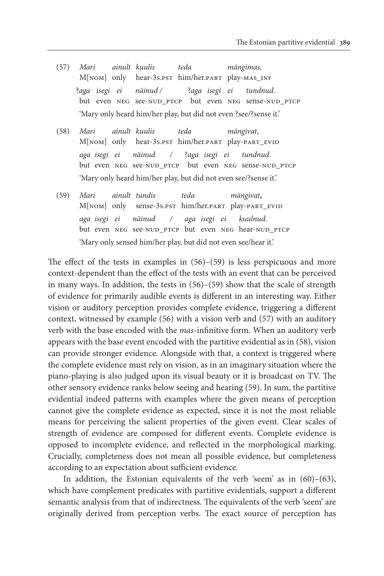- (57) *Mari ainult kuulis teda mängimas,*  $M$ [NOM] only hear-3s.pst him/her.part play-mas\_inf ?*aga isegi ei näinud /* ?*aga isegi ei tundnud*. but even NEG see-NUD\_PTCP but even NEG sense-NUD\_PTCP 'Mary only heard him/her play, but did not even ?see/?sense it.'
- (58) *Mari ainult kuulis teda mängivat*, M[NOM] only hear-3s.pst him/her.part play-part evid *aga isegi ei näinud /* ?*aga isegi ei tundnud*. but even NEG see-NUD\_PTCP but even NEG sense-NUD\_PTCP 'Mary only heard him/her play, but did not even see/?sense it.'
- (59) *Mari ainult tundis teda mängivat***,** M[NOM] only sense-3s.pst him/her.part play-part\_evid *aga isegi ei näinud / aga isegi ei kuulnud*. but even NEG see-NUD PTCP but even NEG hear-NUD PTCP 'Mary only sensed him/her play, but did not even see/hear it.'

The effect of the tests in examples in (56)–(59) is less perspicuous and more context-dependent than the effect of the tests with an event that can be perceived in many ways. In addition, the tests in (56)–(59) show that the scale of strength of evidence for primarily audible events is different in an interesting way. Either vision or auditory perception provides complete evidence, triggering a different context, witnessed by example (56) with a vision verb and (57) with an auditory verb with the base encoded with the *mas*-infinitive form. When an auditory verb appears with the base event encoded with the partitive evidential as in (58), vision can provide stronger evidence. Alongside with that, a context is triggered where the complete evidence must rely on vision, as in an imaginary situation where the piano-playing is also judged upon its visual beauty or it is broadcast on TV. The other sensory evidence ranks below seeing and hearing (59). In sum, the partitive evidential indeed patterns with examples where the given means of perception cannot give the complete evidence as expected, since it is not the most reliable means for perceiving the salient properties of the given event. Clear scales of strength of evidence are composed for different events. Complete evidence is opposed to incomplete evidence, and reflected in the morphological marking. Crucially, completeness does not mean all possible evidence, but completeness according to an expectation about sufficient evidence.

In addition, the Estonian equivalents of the verb 'seem' as in  $(60)$ – $(63)$ , which have complement predicates with partitive evidentials, support a different semantic analysis from that of indirectness. The equivalents of the verb 'seem' are originally derived from perception verbs. The exact source of perception has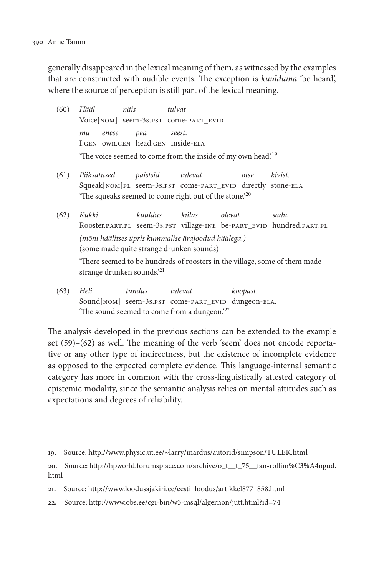generally disappeared in the lexical meaning of them, as witnessed by the examples that are constructed with audible events. The exception is *kuulduma* 'be heard', where the source of perception is still part of the lexical meaning.

- (60) *Hääl näis tulvat* Voice[NOM] seem-3s.pst come-part EVID *mu enese pea seest*. I.gen own.gen head.gen inside-ela 'The voice seemed to come from the inside of my own head.'19
	- (61) *Piiksatused paistsid tulevat otse kivist*. Squeak[NOM]PL seem-3s.PST come-PART\_EVID directly stone-ELA 'The squeaks seemed to come right out of the stone.'20
	- (62) *Kukki kuuldus külas olevat sadu,* Rooster.part.pl seem-3s.pst village-INE be-part EVID hundred.part.pl *(mõni häälitses üpris kummalise ärajoodud häälega.)* (some made quite strange drunken sounds) 'There seemed to be hundreds of roosters in the village, some of them made strange drunken sounds.'21
	- (63) *Heli tundus tulevat koopast*. Sound[NOM] seem-3s.pst come-part\_evid dungeon-ELA. 'The sound seemed to come from a dungeon.'22

The analysis developed in the previous sections can be extended to the example set (59)–(62) as well. The meaning of the verb 'seem' does not encode reportative or any other type of indirectness, but the existence of incomplete evidence as opposed to the expected complete evidence. This language-internal semantic category has more in common with the cross-linguistically attested category of epistemic modality, since the semantic analysis relies on mental attitudes such as expectations and degrees of reliability.

**<sup>19.</sup>** Source: http://www.physic.ut.ee/~larry/mardus/autorid/simpson/TULEK.html

**<sup>20.</sup>** Source: http://hpworld.forumsplace.com/archive/o\_t\_\_t\_75\_\_fan-rollim%C3%A4ngud. html

**<sup>21.</sup>** Source: http://www.loodusajakiri.ee/eesti\_loodus/artikkel877\_858.html

**<sup>22.</sup>** Source: http://www.obs.ee/cgi-bin/w3-msql/algernon/jutt.html?id=74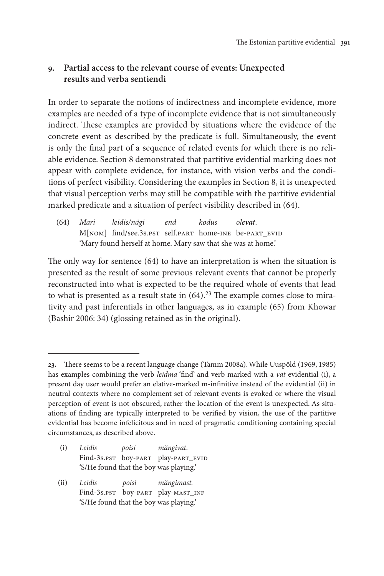# **9. Partial access to the relevant course of events: Unexpected results and verba sentiendi**

In order to separate the notions of indirectness and incomplete evidence, more examples are needed of a type of incomplete evidence that is not simultaneously indirect. These examples are provided by situations where the evidence of the concrete event as described by the predicate is full. Simultaneously, the event is only the final part of a sequence of related events for which there is no reliable evidence. Section 8 demonstrated that partitive evidential marking does not appear with complete evidence, for instance, with vision verbs and the conditions of perfect visibility. Considering the examples in Section 8, it is unexpected that visual perception verbs may still be compatible with the partitive evidential marked predicate and a situation of perfect visibility described in (64).

(64) *Mari leidis/nägi end kodus olevat*. M[NOM] find/see.3s.pst self.part home-INE be-part\_evid 'Mary found herself at home. Mary saw that she was at home.'

The only way for sentence (64) to have an interpretation is when the situation is presented as the result of some previous relevant events that cannot be properly reconstructed into what is expected to be the required whole of events that lead to what is presented as a result state in  $(64).^{23}$  The example comes close to mirativity and past inferentials in other languages, as in example (65) from Khowar (Bashir 2006: 34) (glossing retained as in the original).

- (i) *Leidis poisi mängivat*. Find-3s.pst boy-part play-part\_evid 'S/He found that the boy was playing.'
- (ii) *Leidis poisi mängimast.* Find-3s.pst boy-part play-mast\_inf 'S/He found that the boy was playing.'

**<sup>23.</sup>** There seems to be a recent language change (Tamm 2008a). While Uuspõld (1969, 1985) has examples combining the verb *leidma* 'find' and verb marked with a *vat-*evidential (i), a present day user would prefer an elative-marked m-infinitive instead of the evidential (ii) in neutral contexts where no complement set of relevant events is evoked or where the visual perception of event is not obscured, rather the location of the event is unexpected. As situations of finding are typically interpreted to be verified by vision, the use of the partitive evidential has become infelicitous and in need of pragmatic conditioning containing special circumstances, as described above.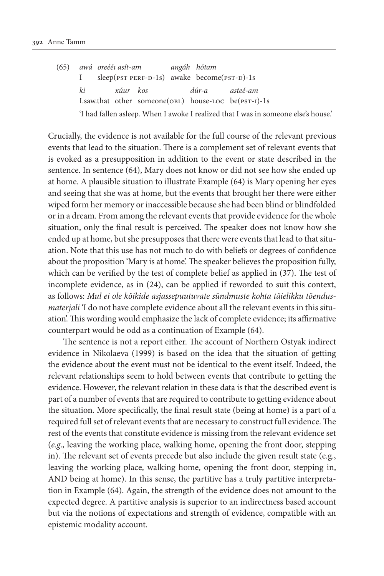(65) *awá oreééı asít-am angáh hótam* I sleep(PST PERF-D-1s) awake become(PST-D)-1s *ki xúur kos dúr-a asteé-am*  $I.saw.that other someone (oBL) house-LOC be (PST-I)-1s$ 'I had fallen asleep. When I awoke I realized that I was in someone else's house.'

Crucially, the evidence is not available for the full course of the relevant previous events that lead to the situation. There is a complement set of relevant events that is evoked as a presupposition in addition to the event or state described in the sentence. In sentence (64), Mary does not know or did not see how she ended up at home. A plausible situation to illustrate Example (64) is Mary opening her eyes and seeing that she was at home, but the events that brought her there were either wiped form her memory or inaccessible because she had been blind or blindfolded or in a dream. From among the relevant events that provide evidence for the whole situation, only the final result is perceived. The speaker does not know how she ended up at home, but she presupposes that there were events that lead to that situation. Note that this use has not much to do with beliefs or degrees of confidence about the proposition 'Mary is at home'. The speaker believes the proposition fully, which can be verified by the test of complete belief as applied in (37). The test of incomplete evidence, as in (24), can be applied if reworded to suit this context, as follows: *Mul ei ole kõikide asjassepuutuvate sündmuste kohta täielikku tõendusmaterjali* 'I do not have complete evidence about all the relevant events in this situation'. This wording would emphasize the lack of complete evidence; its affirmative counterpart would be odd as a continuation of Example (64).

The sentence is not a report either. The account of Northern Ostyak indirect evidence in Nikolaeva (1999) is based on the idea that the situation of getting the evidence about the event must not be identical to the event itself. Indeed, the relevant relationships seem to hold between events that contribute to getting the evidence. However, the relevant relation in these data is that the described event is part of a number of events that are required to contribute to getting evidence about the situation. More specifically, the final result state (being at home) is a part of a required full set of relevant events that are necessary to construct full evidence. The rest of the events that constitute evidence is missing from the relevant evidence set (*e.g*., leaving the working place, walking home, opening the front door, stepping in). The relevant set of events precede but also include the given result state (e.g., leaving the working place, walking home, opening the front door, stepping in, AND being at home). In this sense, the partitive has a truly partitive interpretation in Example (64). Again, the strength of the evidence does not amount to the expected degree. A partitive analysis is superior to an indirectness based account but via the notions of expectations and strength of evidence, compatible with an epistemic modality account.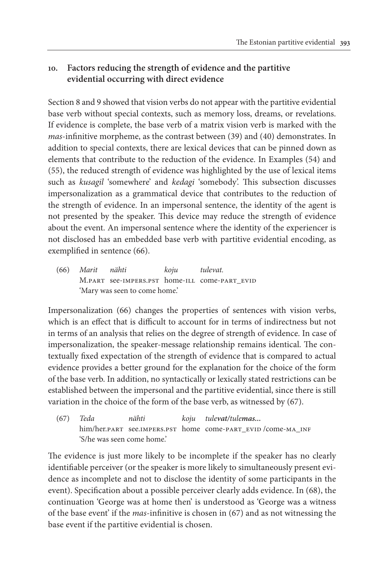# **10. Factors reducing the strength of evidence and the partitive evidential occurring with direct evidence**

Section 8 and 9 showed that vision verbs do not appear with the partitive evidential base verb without special contexts, such as memory loss, dreams, or revelations. If evidence is complete, the base verb of a matrix vision verb is marked with the *mas*-infinitive morpheme, as the contrast between (39) and (40) demonstrates. In addition to special contexts, there are lexical devices that can be pinned down as elements that contribute to the reduction of the evidence. In Examples (54) and (55), the reduced strength of evidence was highlighted by the use of lexical items such as *kusagil* 'somewhere' and *kedagi* 'somebody'. This subsection discusses impersonalization as a grammatical device that contributes to the reduction of the strength of evidence. In an impersonal sentence, the identity of the agent is not presented by the speaker. This device may reduce the strength of evidence about the event. An impersonal sentence where the identity of the experiencer is not disclosed has an embedded base verb with partitive evidential encoding, as exemplified in sentence (66).

(66) *Marit nähti koju tulevat.* M.PART See-IMPERS.PST home-ILL COME-PART EVID 'Mary was seen to come home.'

Impersonalization (66) changes the properties of sentences with vision verbs, which is an effect that is difficult to account for in terms of indirectness but not in terms of an analysis that relies on the degree of strength of evidence. In case of impersonalization, the speaker-message relationship remains identical. The contextually fixed expectation of the strength of evidence that is compared to actual evidence provides a better ground for the explanation for the choice of the form of the base verb. In addition, no syntactically or lexically stated restrictions can be established between the impersonal and the partitive evidential, since there is still variation in the choice of the form of the base verb, as witnessed by (67).

(67) *Teda nähti koju tulevat/tulemas...* him/her.part see.impers.pst home come-part\_evid /come-ma\_inf 'S/he was seen come home.'

The evidence is just more likely to be incomplete if the speaker has no clearly identifiable perceiver (or the speaker is more likely to simultaneously present evidence as incomplete and not to disclose the identity of some participants in the event). Specification about a possible perceiver clearly adds evidence. In (68), the continuation 'George was at home then' is understood as 'George was a witness of the base event' if the *mas*-infinitive is chosen in (67) and as not witnessing the base event if the partitive evidential is chosen.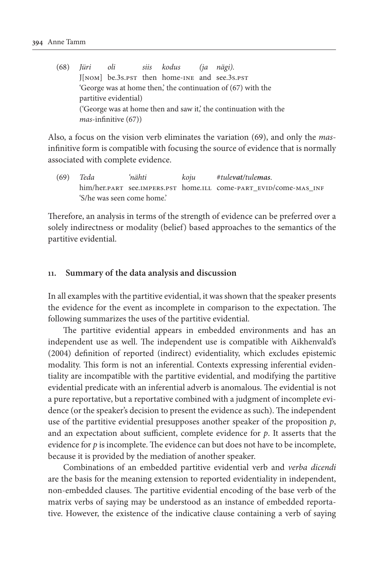(68) *Jüri oli siis kodus (ja nägi).*  $I[NOM]$  be.3s.pst then home- $INE$  and see.3s.pst 'George was at home then,' the continuation of (67) with the partitive evidential) ('George was at home then and saw it,' the continuation with the *mas*-infinitive (67))

Also, a focus on the vision verb eliminates the variation (69), and only the *mas*infinitive form is compatible with focusing the source of evidence that is normally associated with complete evidence.

(69) *Teda 'nähti koju* #*tulevat/tulemas*. him/her.part see.impers.pst home.ill come-part evid/come-mas\_inf 'S/he was seen come home.'

Therefore, an analysis in terms of the strength of evidence can be preferred over a solely indirectness or modality (belief) based approaches to the semantics of the partitive evidential.

#### **11. Summary of the data analysis and discussion**

In all examples with the partitive evidential, it was shown that the speaker presents the evidence for the event as incomplete in comparison to the expectation. The following summarizes the uses of the partitive evidential.

The partitive evidential appears in embedded environments and has an independent use as well. The independent use is compatible with Aikhenvald's (2004) definition of reported (indirect) evidentiality, which excludes epistemic modality. This form is not an inferential. Contexts expressing inferential evidentiality are incompatible with the partitive evidential, and modifying the partitive evidential predicate with an inferential adverb is anomalous. The evidential is not a pure reportative, but a reportative combined with a judgment of incomplete evidence (or the speaker's decision to present the evidence as such). The independent use of the partitive evidential presupposes another speaker of the proposition *p*, and an expectation about sufficient, complete evidence for *p*. It asserts that the evidence for *p* is incomplete. The evidence can but does not have to be incomplete, because it is provided by the mediation of another speaker.

Combinations of an embedded partitive evidential verb and *verba dicendi* are the basis for the meaning extension to reported evidentiality in independent, non-embedded clauses. The partitive evidential encoding of the base verb of the matrix verbs of saying may be understood as an instance of embedded reportative. However, the existence of the indicative clause containing a verb of saying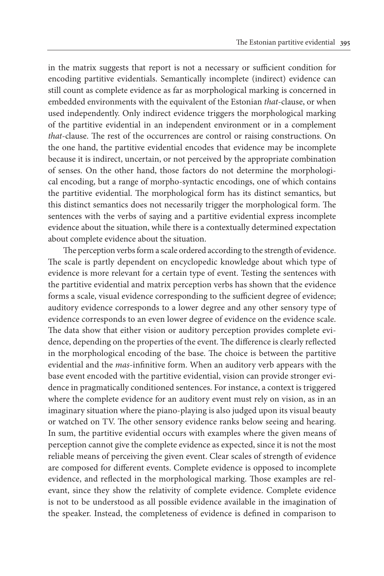in the matrix suggests that report is not a necessary or sufficient condition for encoding partitive evidentials. Semantically incomplete (indirect) evidence can still count as complete evidence as far as morphological marking is concerned in embedded environments with the equivalent of the Estonian *that*-clause, or when used independently. Only indirect evidence triggers the morphological marking of the partitive evidential in an independent environment or in a complement *that*-clause. The rest of the occurrences are control or raising constructions. On the one hand, the partitive evidential encodes that evidence may be incomplete because it is indirect, uncertain, or not perceived by the appropriate combination of senses. On the other hand, those factors do not determine the morphological encoding, but a range of morpho-syntactic encodings, one of which contains the partitive evidential. The morphological form has its distinct semantics, but this distinct semantics does not necessarily trigger the morphological form. The sentences with the verbs of saying and a partitive evidential express incomplete evidence about the situation, while there is a contextually determined expectation about complete evidence about the situation.

The perception verbs form a scale ordered according to the strength of evidence. The scale is partly dependent on encyclopedic knowledge about which type of evidence is more relevant for a certain type of event. Testing the sentences with the partitive evidential and matrix perception verbs has shown that the evidence forms a scale, visual evidence corresponding to the sufficient degree of evidence; auditory evidence corresponds to a lower degree and any other sensory type of evidence corresponds to an even lower degree of evidence on the evidence scale. The data show that either vision or auditory perception provides complete evidence, depending on the properties of the event. The difference is clearly reflected in the morphological encoding of the base. The choice is between the partitive evidential and the *mas*-infinitive form. When an auditory verb appears with the base event encoded with the partitive evidential, vision can provide stronger evidence in pragmatically conditioned sentences. For instance, a context is triggered where the complete evidence for an auditory event must rely on vision, as in an imaginary situation where the piano-playing is also judged upon its visual beauty or watched on TV. The other sensory evidence ranks below seeing and hearing. In sum, the partitive evidential occurs with examples where the given means of perception cannot give the complete evidence as expected, since it is not the most reliable means of perceiving the given event. Clear scales of strength of evidence are composed for different events. Complete evidence is opposed to incomplete evidence, and reflected in the morphological marking. Those examples are relevant, since they show the relativity of complete evidence. Complete evidence is not to be understood as all possible evidence available in the imagination of the speaker. Instead, the completeness of evidence is defined in comparison to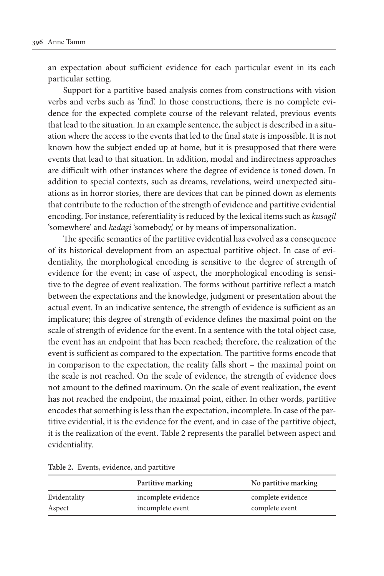an expectation about sufficient evidence for each particular event in its each particular setting.

Support for a partitive based analysis comes from constructions with vision verbs and verbs such as 'find'. In those constructions, there is no complete evidence for the expected complete course of the relevant related, previous events that lead to the situation. In an example sentence, the subject is described in a situation where the access to the events that led to the final state is impossible. It is not known how the subject ended up at home, but it is presupposed that there were events that lead to that situation. In addition, modal and indirectness approaches are difficult with other instances where the degree of evidence is toned down. In addition to special contexts, such as dreams, revelations, weird unexpected situations as in horror stories, there are devices that can be pinned down as elements that contribute to the reduction of the strength of evidence and partitive evidential encoding. For instance, referentiality is reduced by the lexical items such as *kusagil* 'somewhere' and *kedagi* 'somebody,' or by means of impersonalization.

The specific semantics of the partitive evidential has evolved as a consequence of its historical development from an aspectual partitive object. In case of evidentiality, the morphological encoding is sensitive to the degree of strength of evidence for the event; in case of aspect, the morphological encoding is sensitive to the degree of event realization. The forms without partitive reflect a match between the expectations and the knowledge, judgment or presentation about the actual event. In an indicative sentence, the strength of evidence is sufficient as an implicature; this degree of strength of evidence defines the maximal point on the scale of strength of evidence for the event. In a sentence with the total object case, the event has an endpoint that has been reached; therefore, the realization of the event is sufficient as compared to the expectation. The partitive forms encode that in comparison to the expectation, the reality falls short – the maximal point on the scale is not reached. On the scale of evidence, the strength of evidence does not amount to the defined maximum. On the scale of event realization, the event has not reached the endpoint, the maximal point, either. In other words, partitive encodes that something is less than the expectation, incomplete. In case of the partitive evidential, it is the evidence for the event, and in case of the partitive object, it is the realization of the event. Table 2 represents the parallel between aspect and evidentiality.

|              | Partitive marking   | No partitive marking |  |
|--------------|---------------------|----------------------|--|
| Evidentality | incomplete evidence | complete evidence    |  |
| Aspect       | incomplete event    | complete event       |  |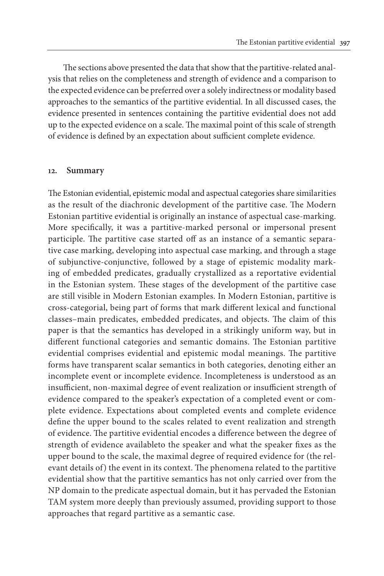The sections above presented the data that show that the partitive-related analysis that relies on the completeness and strength of evidence and a comparison to the expected evidence can be preferred over a solely indirectness or modality based approaches to the semantics of the partitive evidential. In all discussed cases, the evidence presented in sentences containing the partitive evidential does not add up to the expected evidence on a scale. The maximal point of this scale of strength of evidence is defined by an expectation about sufficient complete evidence.

#### **12. Summary**

The Estonian evidential, epistemic modal and aspectual categories share similarities as the result of the diachronic development of the partitive case. The Modern Estonian partitive evidential is originally an instance of aspectual case-marking. More specifically, it was a partitive-marked personal or impersonal present participle. The partitive case started off as an instance of a semantic separative case marking, developing into aspectual case marking, and through a stage of subjunctive-conjunctive, followed by a stage of epistemic modality marking of embedded predicates, gradually crystallized as a reportative evidential in the Estonian system. These stages of the development of the partitive case are still visible in Modern Estonian examples. In Modern Estonian, partitive is cross-categorial, being part of forms that mark different lexical and functional classes–main predicates, embedded predicates, and objects. The claim of this paper is that the semantics has developed in a strikingly uniform way, but in different functional categories and semantic domains. The Estonian partitive evidential comprises evidential and epistemic modal meanings. The partitive forms have transparent scalar semantics in both categories, denoting either an incomplete event or incomplete evidence. Incompleteness is understood as an insufficient, non-maximal degree of event realization or insufficient strength of evidence compared to the speaker's expectation of a completed event or complete evidence. Expectations about completed events and complete evidence define the upper bound to the scales related to event realization and strength of evidence. The partitive evidential encodes a difference between the degree of strength of evidence availableto the speaker and what the speaker fixes as the upper bound to the scale, the maximal degree of required evidence for (the relevant details of) the event in its context. The phenomena related to the partitive evidential show that the partitive semantics has not only carried over from the NP domain to the predicate aspectual domain, but it has pervaded the Estonian TAM system more deeply than previously assumed, providing support to those approaches that regard partitive as a semantic case.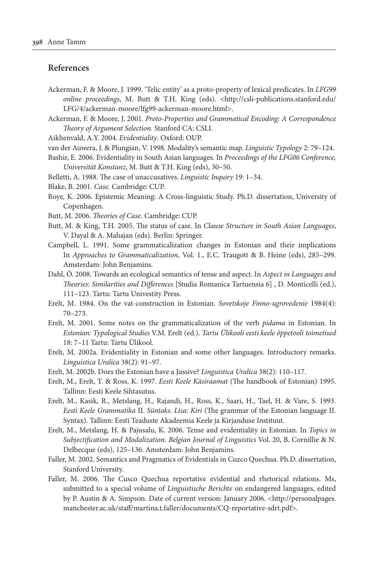#### **References**

- Ackerman, F. & Moore, J. 1999. 'Telic entity' as a proto-property of lexical predicates. In *LFG99 online proceedings*, M. Butt & T.H. King (eds). <http://csli-publications.stanford.edu/ LFG/4/ackerman-moore/lfg99-ackerman-moore.html>.
- Ackerman, F. & Moore, J. 2001. *Proto-Properties and Grammatical Encoding: A Correspondence Theory of Argument Selection.* Stanford CA: CSLI.
- Aikhenvald, A.Y. 2004. *Evidentiality*. Oxford: OUP.
- van der Auwera, J. & Plungian, V. 1998. Modality's semantic map. *Linguistic Typology* 2: 79–124.
- Bashir, E. 2006. Evidentiality in South Asian languages. In *Proceedings of the LFG06 Conference, Universität Konstanz*, M. Butt & T.H. King (eds), 30–50.
- Belletti, A. 1988. The case of unaccusatives. *Linguistic Inquiry* 19: 1–34.
- Blake, B. 2001. *Case.* Cambridge: CUP.
- Boye*,* K. 2006. Epistemic Meaning: A Cross-linguistic Study. Ph.D. dissertation, University of Copenhagen.
- Butt, M. 2006. *Theories of Case*. Cambridge: CUP.
- Butt, M. & King, T.H. 2005. The status of case. In *Clause Structure in South Asian Languages*, V. Dayal & A. Mahajan (eds). Berlin: Springer.
- Campbell, L. 1991. Some grammaticalization changes in Estonian and their implications In *Approaches to Grammaticalization*, Vol. 1., E.C. Traugott & B. Heine (eds), 285–299. Amsterdam: John Benjamins.
- Dahl, Ö. 2008. Towards an ecological semantics of tense and aspect. In *Aspect in Languages and Theories: Similarities and Differences* [Studia Romanica Tartuensia 6] , D. Monticelli (ed.), 111–123. Tartu: Tartu Univestity Press.
- Erelt, M. 1984. On the vat-construction in Estonian. *Sovetskoje Finno-ugrovedenie* 1984(4): 70–273.
- Erelt, M. 2001. Some notes on the grammaticalization of the verb *pidama* in Estonian. In *Estonian: Typological Studies* V.M. Erelt (ed.). *Tartu Ülikooli eesti keele õppetooli toimetised* 18: 7–11 Tartu: Tartu Ülikool.
- Erelt, M. 2002a. Evidentiality in Estonian and some other languages. Introductory remarks. *Linguistica Uralica* 38(2): 91–97.
- Erelt, M. 2002b. Does the Estonian have a Jussive? *Linguistica Uralica* 38(2): 110–117.
- Erelt, M., Erelt, T. & Ross, K. 1997. *Eesti Keele Käsiraamat* (The handbook of Estonian) 1995. Tallinn: Eesti Keele Sihtasutus.
- Erelt, M., Kasik, R., Metslang, H., Rajandi, H., Ross, K., Saari, H., Tael, H. & Vare, S. 1993. *Eesti Keele Grammatika* II. *Süntaks. Lisa: Kiri* (The grammar of the Estonian language II. Syntax). Tallinn: Eesti Teaduste Akadeemia Keele ja Kirjanduse Instituut.
- Erelt, M., Metslang, H. & Pajusalu, K. 2006. Tense and evidentiality in Estonian. In *Topics in Subjectification and Modalization. Belgian Journal of Linguistics* Vol. 20, B. Cornillie & N. Delbecque (eds), 125–136. Amsterdam: John Benjamins.
- Faller, M. 2002. Semantics and Pragmatics of Evidentials in Cuzco Quechua. Ph.D. dissertation, Stanford University.
- Faller, M. 2006. The Cusco Quechua reportative evidential and rhetorical relations. Ms, submitted to a special volume of *Linguistische Berichte* on endangered languages, edited by P. Austin & A. Simpson. Date of current version: January 2006. <http://personalpages. manchester.ac.uk/staff/martina.t.faller/documents/CQ-reportative-sdrt.pdf>.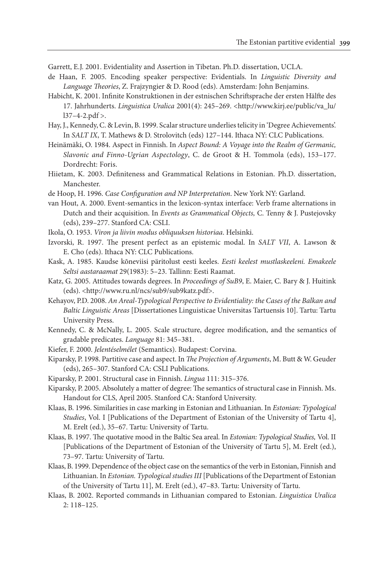Garrett, E.J. 2001. Evidentiality and Assertion in Tibetan. Ph.D. dissertation, UCLA.

- de Haan, F. 2005. Encoding speaker perspective: Evidentials. In *Linguistic Diversity and Language Theories*, Z. Frajzyngier & D. Rood (eds). Amsterdam: John Benjamins.
- Habicht, K. 2001. Infinite Konstruktionen in der estnischen Schriftsprache der ersten Hälfte des 17. Jahrhunderts. *Linguistica Uralica* 2001(4): 245–269. <http://www.kirj.ee/public/va\_lu/  $137 - 4 - 2.pdf$
- Hay, J., Kennedy, C. & Levin, B. 1999. Scalar structure underlies telicity in 'Degree Achievements'. In *SALT IX*, T. Mathews & D. Strolovitch (eds) 127–144. Ithaca NY: CLC Publications.
- Heinämäki, O. 1984. Aspect in Finnish. In *Aspect Bound: A Voyage into the Realm of Germanic, Slavonic and Finno-Ugrian Aspectology*, C. de Groot & H. Tommola (eds), 153–177. Dordrecht: Foris.
- Hiietam, K. 2003. Definiteness and Grammatical Relations in Estonian. Ph.D. dissertation, Manchester.
- de Hoop, H. 1996. *Case Configuration and NP Interpretation*. New York NY: Garland.
- van Hout, A. 2000. Event-semantics in the lexicon-syntax interface: Verb frame alternations in Dutch and their acquisition. In *Events as Grammatical Objects,* C. Tenny & J. Pustejovsky (eds), 239–277. Stanford CA: CSLI.
- Ikola, O. 1953. *Viron ja liivin modus obliquuksen historiaa*. Helsinki.
- Izvorski, R. 1997. The present perfect as an epistemic modal. In *SALT VII*, A. Lawson & E. Cho (eds). Ithaca NY: CLC Publications.
- Kask, A. 1985. Kaudse kõneviisi päritolust eesti keeles. *Eesti keelest mustlaskeeleni. Emakeele Seltsi aastaraamat* 29(1983): 5–23. Tallinn: Eesti Raamat.
- Katz, G. 2005. Attitudes towards degrees. In *Proceedings of SuB9*, E. Maier, C. Bary & J. Huitink (eds). <http://www.ru.nl/ncs/sub9/sub9katz.pdf>.
- Kehayov, P.D. 2008. *An Areal-Typological Perspective to Evidentiality: the Cases of the Balkan and Baltic Linguistic Areas* [Dissertationes Linguisticae Universitas Tartuensis 10]. Tartu: Tartu University Press.
- Kennedy, C. & McNally, L. 2005. Scale structure, degree modification, and the semantics of gradable predicates. *Language* 81: 345–381.
- Kiefer, F. 2000. *Jelentéselmélet* (Semantics). Budapest: Corvina.
- Kiparsky, P. 1998. Partitive case and aspect. In *The Projection of Arguments*, M. Butt & W. Geuder (eds), 265–307. Stanford CA: CSLI Publications.
- Kiparsky, P. 2001. Structural case in Finnish. *Lingua* 111: 315–376.
- Kiparsky, P. 2005. Absolutely a matter of degree: The semantics of structural case in Finnish. Ms. Handout for CLS, April 2005. Stanford CA: Stanford University.
- Klaas, B. 1996. Similarities in case marking in Estonian and Lithuanian. In *Estonian: Typological Studies*, Vol. I [Publications of the Department of Estonian of the University of Tartu 4], M. Erelt (ed.), 35–67. Tartu: University of Tartu.
- Klaas, B. 1997. The quotative mood in the Baltic Sea areal. In *Estonian: Typological Studies,* Vol. II [Publications of the Department of Estonian of the University of Tartu 5], M. Erelt (ed.), 73–97. Tartu: University of Tartu.
- Klaas, B. 1999. Dependence of the object case on the semantics of the verb in Estonian, Finnish and Lithuanian. In *Estonian. Typological studies III* [Publications of the Department of Estonian of the University of Tartu 11], M. Erelt (ed.), 47–83. Tartu: University of Tartu.
- Klaas, B. 2002. Reported commands in Lithuanian compared to Estonian. *Linguistica Uralica* 2: 118–125.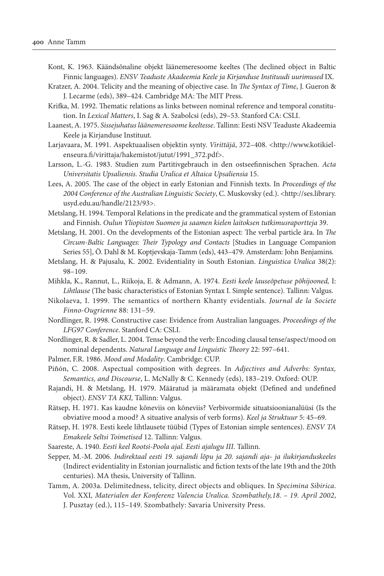- Kont, K. 1963. Käändsõnaline objekt läänemeresoome keeltes (The declined object in Baltic Finnic languages). *ENSV Teaduste Akadeemia Keele ja Kirjanduse Instituudi uurimused* IX.
- Kratzer, A. 2004. Telicity and the meaning of objective case. In *The Syntax of Time*, J. Gueron & J. Lecarme (eds), 389–424. Cambridge MA: The MIT Press.
- Krifka, M. 1992. Thematic relations as links between nominal reference and temporal constitution. In *Lexical Matters*, I. Sag & A. Szabolcsi (eds), 29–53. Stanford CA: CSLI.
- Laanest, A. 1975. *Sissejuhatus läänemeresoome keeltesse*. Tallinn: Eesti NSV Teaduste Akadeemia Keele ja Kirjanduse Instituut.
- Larjavaara, M. 1991. Aspektuaalisen objektin synty. *Virittäjä*, 372–408. <http://www.kotikielenseura.fi/virittaja/hakemistot/jutut/1991\_372.pdf>.
- Larsson, L.-G. 1983. Studien zum Partitivgebrauch in den ostseefinnischen Sprachen. *Acta Universitatis Upsaliensis. Studia Uralica et Altaica Upsaliensia* 15.
- Lees, A. 2005. The case of the object in early Estonian and Finnish texts. In *Proceedings of the 2004 Conference of the Australian Linguistic Society*, C. Muskovsky (ed.). <http://ses.library. usyd.edu.au/handle/2123/93>.
- Metslang, H. 1994. Temporal Relations in the predicate and the grammatical system of Estonian and Finnish. *Oulun Yliopiston Suomen ja saamen kielen laitoksen tutkimusraportteja* 39.
- Metslang, H. 2001. On the developments of the Estonian aspect: The verbal particle ära. In *The Circum-Baltic Languages: Their Typology and Contacts* [Studies in Language Companion Series 55], Ö. Dahl & M. Koptjevskaja-Tamm (eds), 443–479. Amsterdam: John Benjamins.
- Metslang, H. & Pajusalu, K. 2002. Evidentiality in South Estonian. *Linguistica Uralica* 38(2): 98–109.
- Mihkla, K., Rannut, L., Riikoja, E. & Admann, A. 1974. *Eesti keele lauseõpetuse põhijooned,* I: *Lihtlause* (The basic characteristics of Estonian Syntax I. Simple sentence). Tallinn: Valgus.
- Nikolaeva, I. 1999. The semantics of northern Khanty evidentials. *Journal de la Societe Finno-Ougrienne* 88: 131–59.
- Nordlinger, R. 1998. Constructive case: Evidence from Australian languages. *Proceedings of the LFG97 Conference*. Stanford CA: CSLI.
- Nordlinger, R. & Sadler, L. 2004. Tense beyond the verb: Encoding clausal tense/aspect/mood on nominal dependents. *Natural Language and Linguistic Theory* 22: 597–641.
- Palmer, F.R. 1986. *Mood and Modality*. Cambridge: CUP.
- Piñón, C. 2008. Aspectual composition with degrees. In *Adjectives and Adverbs: Syntax, Semantics, and Discourse*, L. McNally & C. Kennedy (eds), 183–219. Oxford: OUP.
- Rajandi, H. & Metslang, H. 1979. Määratud ja määramata objekt (Defined and undefined object). *ENSV TA KKI,* Tallinn: Valgus.
- Rätsep, H. 1971. Kas kaudne kõneviis on kõneviis? Verbivormide situatsioonianalüüsi (Is the obviative mood a mood? A situative analysis of verb forms). *Keel ja Struktuur* 5: 45–69.
- Rätsep, H. 1978. Eesti keele lihtlausete tüübid (Types of Estonian simple sentences). *ENSV TA Emakeele Seltsi Toimetised* 12. Tallinn: Valgus.
- Saareste, A. 1940. *Eesti keel Rootsi-Poola ajal. Eesti ajalugu III*. Tallinn.
- Sepper, M.-M. 2006. *Indirektaal eesti 19. sajandi lõpu ja 20. sajandi aja- ja ilukirjanduskeeles* (Indirect evidentiality in Estonian journalistic and fiction texts of the late 19th and the 20th centuries). MA thesis, University of Tallinn.
- Tamm, A. 2003a. Delimitedness, telicity, direct objects and obliques. In *Specimina Sibirica*. Vol. XXI*, Materialen der Konferenz Valencia Uralica. Szombathely,18. – 19. April 2002*, J. Pusztay (ed.), 115–149. Szombathely: Savaria University Press.